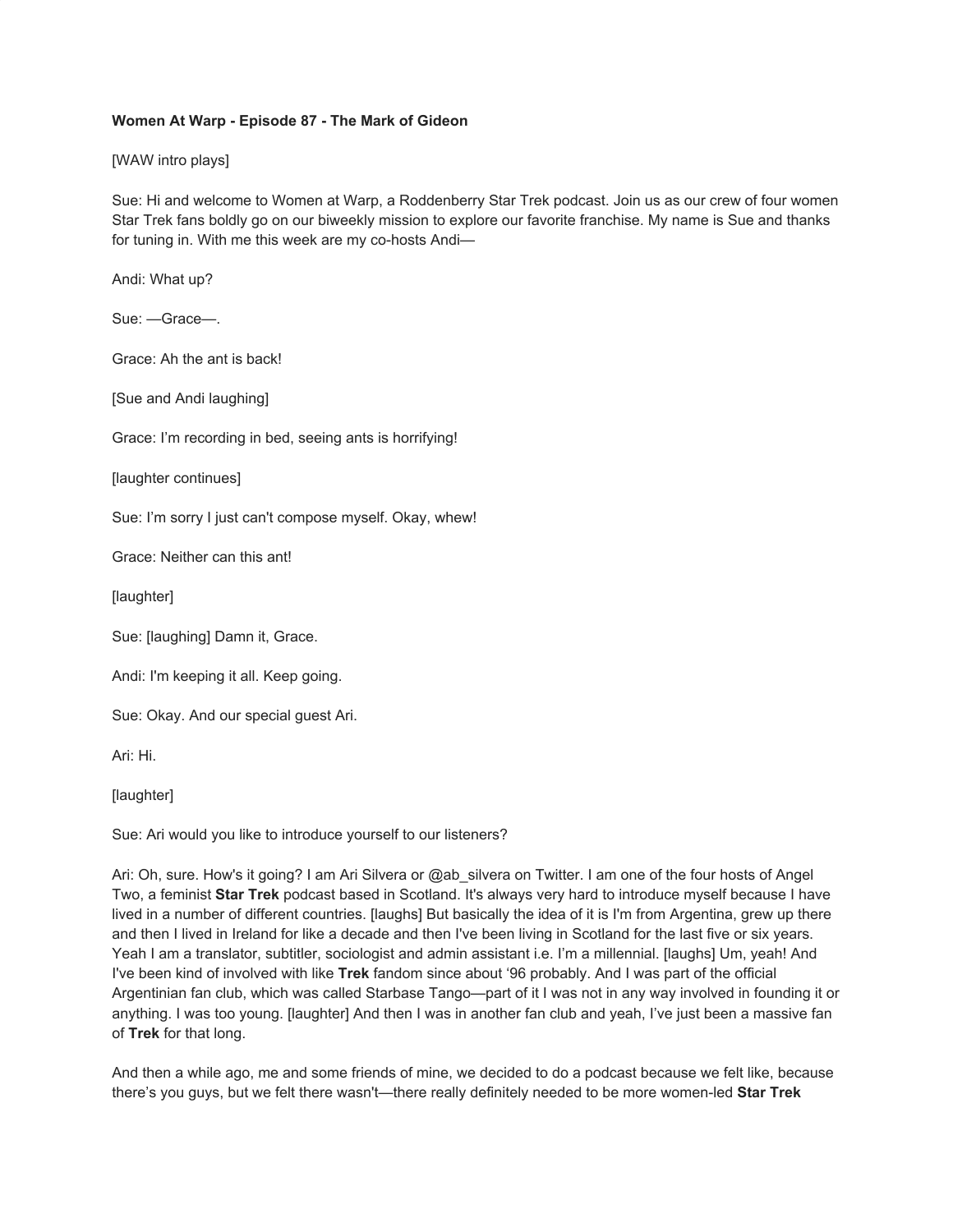## **Women At Warp - Episode 87 - The Mark of Gideon**

[WAW intro plays]

Sue: Hi and welcome to Women at Warp, a Roddenberry Star Trek podcast. Join us as our crew of four women Star Trek fans boldly go on our biweekly mission to explore our favorite franchise. My name is Sue and thanks for tuning in. With me this week are my co-hosts Andi—

Andi: What up?

Sue: —Grace—.

Grace: Ah the ant is back!

[Sue and Andi laughing]

Grace: I'm recording in bed, seeing ants is horrifying!

[laughter continues]

Sue: I'm sorry I just can't compose myself. Okay, whew!

Grace: Neither can this ant!

[laughter]

Sue: [laughing] Damn it, Grace.

Andi: I'm keeping it all. Keep going.

Sue: Okay. And our special guest Ari.

Ari: Hi.

[laughter]

Sue: Ari would you like to introduce yourself to our listeners?

Ari: Oh, sure. How's it going? I am Ari Silvera or @ab silvera on Twitter. I am one of the four hosts of Angel Two, a feminist **Star Trek** podcast based in Scotland. It's always very hard to introduce myself because I have lived in a number of different countries. [laughs] But basically the idea of it is I'm from Argentina, grew up there and then I lived in Ireland for like a decade and then I've been living in Scotland for the last five or six years. Yeah I am a translator, subtitler, sociologist and admin assistant i.e. I'm a millennial. [laughs] Um, yeah! And I've been kind of involved with like **Trek** fandom since about '96 probably. And I was part of the official Argentinian fan club, which was called Starbase Tango—part of it I was not in any way involved in founding it or anything. I was too young. [laughter] And then I was in another fan club and yeah, I've just been a massive fan of **Trek** for that long.

And then a while ago, me and some friends of mine, we decided to do a podcast because we felt like, because there's you guys, but we felt there wasn't—there really definitely needed to be more women-led **Star Trek**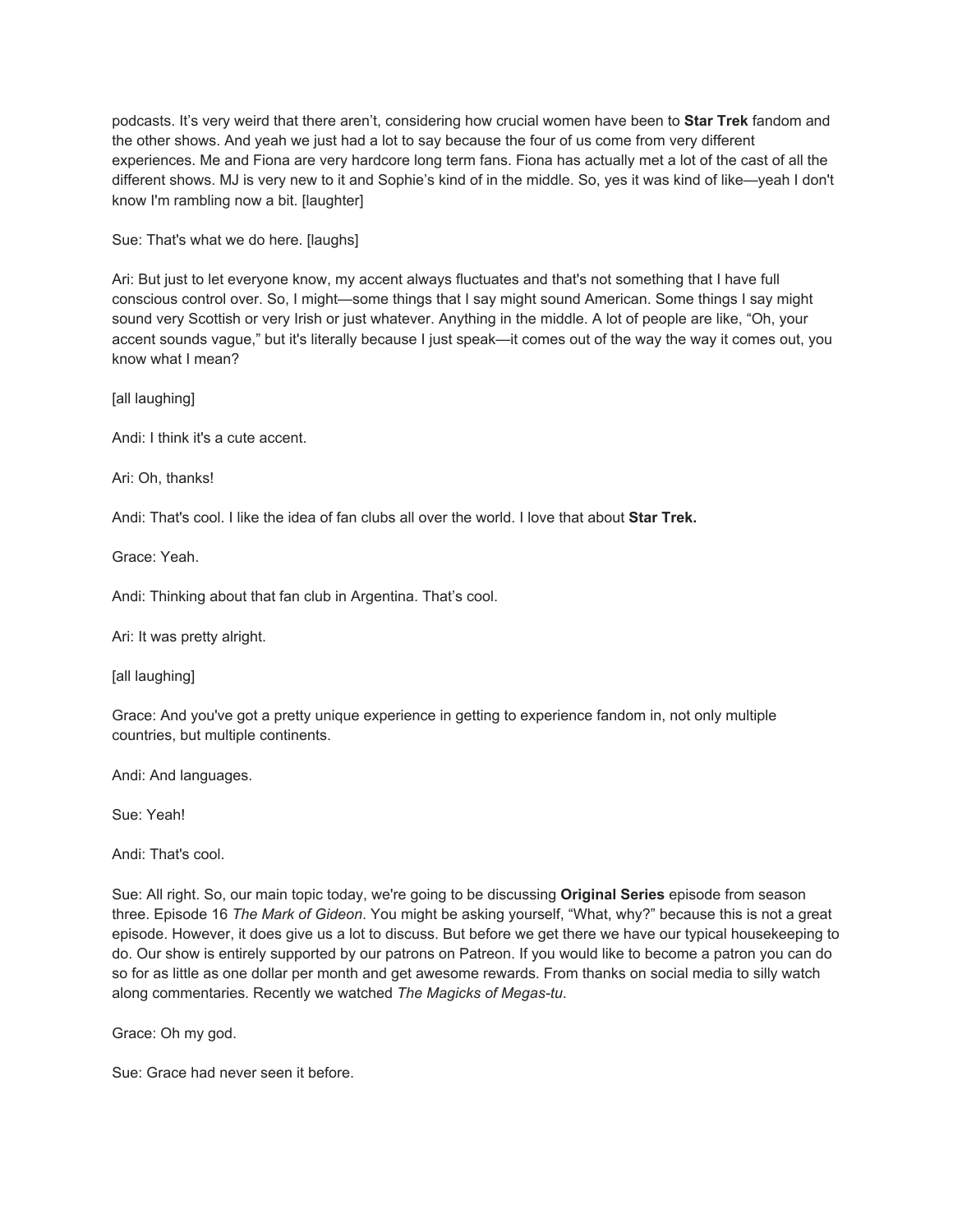podcasts. It's very weird that there aren't, considering how crucial women have been to **Star Trek** fandom and the other shows. And yeah we just had a lot to say because the four of us come from very different experiences. Me and Fiona are very hardcore long term fans. Fiona has actually met a lot of the cast of all the different shows. MJ is very new to it and Sophie's kind of in the middle. So, yes it was kind of like—yeah I don't know I'm rambling now a bit. [laughter]

Sue: That's what we do here. [laughs]

Ari: But just to let everyone know, my accent always fluctuates and that's not something that I have full conscious control over. So, I might—some things that I say might sound American. Some things I say might sound very Scottish or very Irish or just whatever. Anything in the middle. A lot of people are like, "Oh, your accent sounds vague," but it's literally because I just speak—it comes out of the way the way it comes out, you know what I mean?

[all laughing]

Andi: I think it's a cute accent.

Ari: Oh, thanks!

Andi: That's cool. I like the idea of fan clubs all over the world. I love that about **Star Trek.**

Grace: Yeah.

Andi: Thinking about that fan club in Argentina. That's cool.

Ari: It was pretty alright.

[all laughing]

Grace: And you've got a pretty unique experience in getting to experience fandom in, not only multiple countries, but multiple continents.

Andi: And languages.

Sue: Yeah!

Andi: That's cool.

Sue: All right. So, our main topic today, we're going to be discussing **Original Series** episode from season three. Episode 16 *The Mark of Gideon*. You might be asking yourself, "What, why?" because this is not a great episode. However, it does give us a lot to discuss. But before we get there we have our typical housekeeping to do. Our show is entirely supported by our patrons on Patreon. If you would like to become a patron you can do so for as little as one dollar per month and get awesome rewards. From thanks on social media to silly watch along commentaries. Recently we watched *The Magicks of Megas-tu*.

Grace: Oh my god.

Sue: Grace had never seen it before.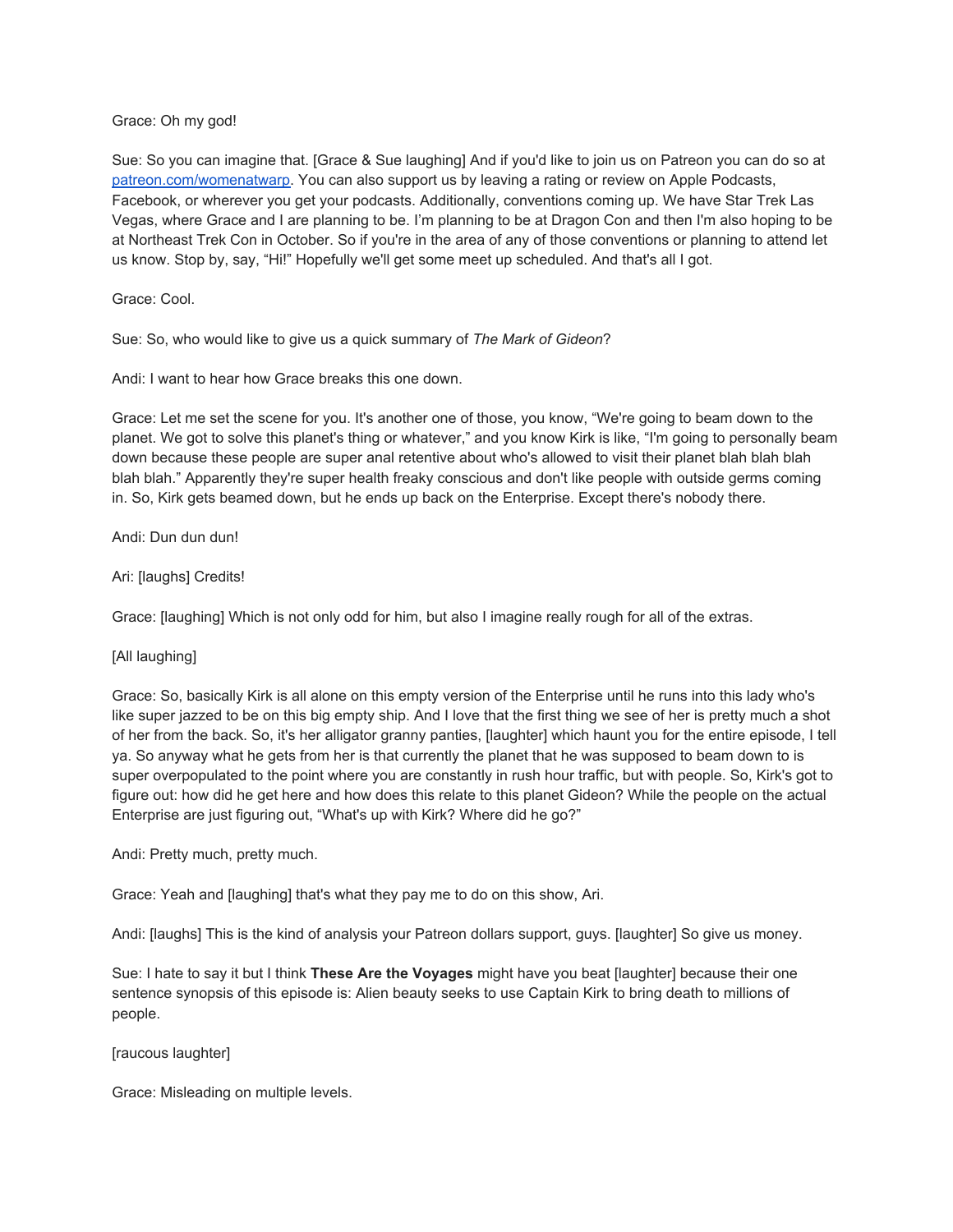## Grace: Oh my god!

Sue: So you can imagine that. [Grace & Sue laughing] And if you'd like to join us on Patreon you can do so at [patreon.com/womenatwarp.](https://www.patreon.com/womenatwarp) You can also support us by leaving a rating or review on Apple Podcasts, Facebook, or wherever you get your podcasts. Additionally, conventions coming up. We have Star Trek Las Vegas, where Grace and I are planning to be. I'm planning to be at Dragon Con and then I'm also hoping to be at Northeast Trek Con in October. So if you're in the area of any of those conventions or planning to attend let us know. Stop by, say, "Hi!" Hopefully we'll get some meet up scheduled. And that's all I got.

Grace: Cool.

Sue: So, who would like to give us a quick summary of *The Mark of Gideon*?

Andi: I want to hear how Grace breaks this one down.

Grace: Let me set the scene for you. It's another one of those, you know, "We're going to beam down to the planet. We got to solve this planet's thing or whatever," and you know Kirk is like, "I'm going to personally beam down because these people are super anal retentive about who's allowed to visit their planet blah blah blah blah blah." Apparently they're super health freaky conscious and don't like people with outside germs coming in. So, Kirk gets beamed down, but he ends up back on the Enterprise. Except there's nobody there.

Andi: Dun dun dun!

# Ari: [laughs] Credits!

Grace: [laughing] Which is not only odd for him, but also I imagine really rough for all of the extras.

[All laughing]

Grace: So, basically Kirk is all alone on this empty version of the Enterprise until he runs into this lady who's like super jazzed to be on this big empty ship. And I love that the first thing we see of her is pretty much a shot of her from the back. So, it's her alligator granny panties, [laughter] which haunt you for the entire episode, I tell ya. So anyway what he gets from her is that currently the planet that he was supposed to beam down to is super overpopulated to the point where you are constantly in rush hour traffic, but with people. So, Kirk's got to figure out: how did he get here and how does this relate to this planet Gideon? While the people on the actual Enterprise are just figuring out, "What's up with Kirk? Where did he go?"

Andi: Pretty much, pretty much.

Grace: Yeah and [laughing] that's what they pay me to do on this show, Ari.

Andi: [laughs] This is the kind of analysis your Patreon dollars support, guys. [laughter] So give us money.

Sue: I hate to say it but I think **These Are the Voyages** might have you beat [laughter] because their one sentence synopsis of this episode is: Alien beauty seeks to use Captain Kirk to bring death to millions of people.

[raucous laughter]

Grace: Misleading on multiple levels.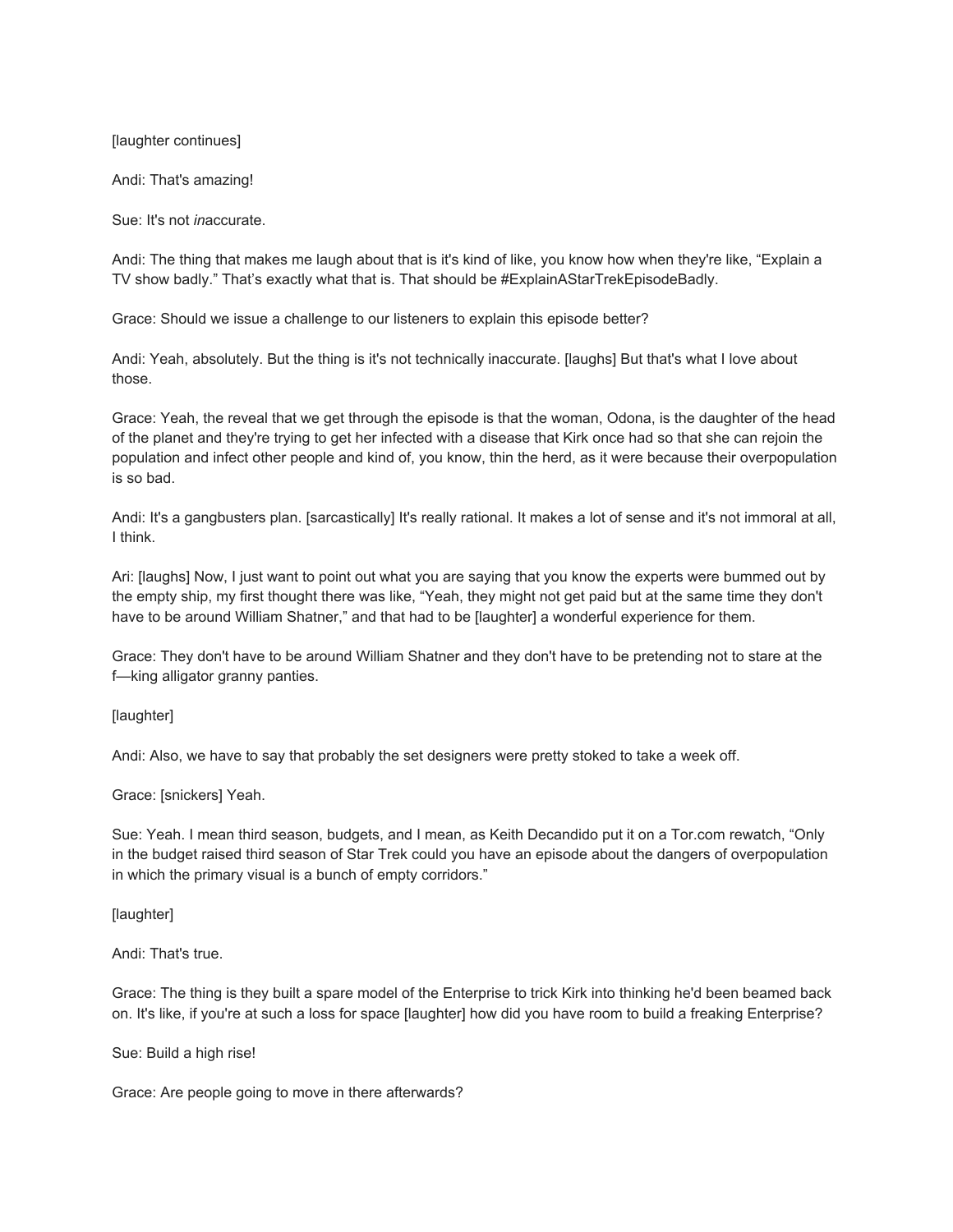[laughter continues]

Andi: That's amazing!

Sue: It's not *in*accurate.

Andi: The thing that makes me laugh about that is it's kind of like, you know how when they're like, "Explain a TV show badly." That's exactly what that is. That should be #ExplainAStarTrekEpisodeBadly.

Grace: Should we issue a challenge to our listeners to explain this episode better?

Andi: Yeah, absolutely. But the thing is it's not technically inaccurate. [laughs] But that's what I love about those.

Grace: Yeah, the reveal that we get through the episode is that the woman, Odona, is the daughter of the head of the planet and they're trying to get her infected with a disease that Kirk once had so that she can rejoin the population and infect other people and kind of, you know, thin the herd, as it were because their overpopulation is so bad.

Andi: It's a gangbusters plan. [sarcastically] It's really rational. It makes a lot of sense and it's not immoral at all, I think.

Ari: [laughs] Now, I just want to point out what you are saying that you know the experts were bummed out by the empty ship, my first thought there was like, "Yeah, they might not get paid but at the same time they don't have to be around William Shatner," and that had to be [laughter] a wonderful experience for them.

Grace: They don't have to be around William Shatner and they don't have to be pretending not to stare at the f—king alligator granny panties.

[laughter]

Andi: Also, we have to say that probably the set designers were pretty stoked to take a week off.

Grace: [snickers] Yeah.

Sue: Yeah. I mean third season, budgets, and I mean, as Keith Decandido put it on a Tor.com rewatch, "Only in the budget raised third season of Star Trek could you have an episode about the dangers of overpopulation in which the primary visual is a bunch of empty corridors."

[laughter]

Andi: That's true.

Grace: The thing is they built a spare model of the Enterprise to trick Kirk into thinking he'd been beamed back on. It's like, if you're at such a loss for space [laughter] how did you have room to build a freaking Enterprise?

Sue: Build a high rise!

Grace: Are people going to move in there afterwards?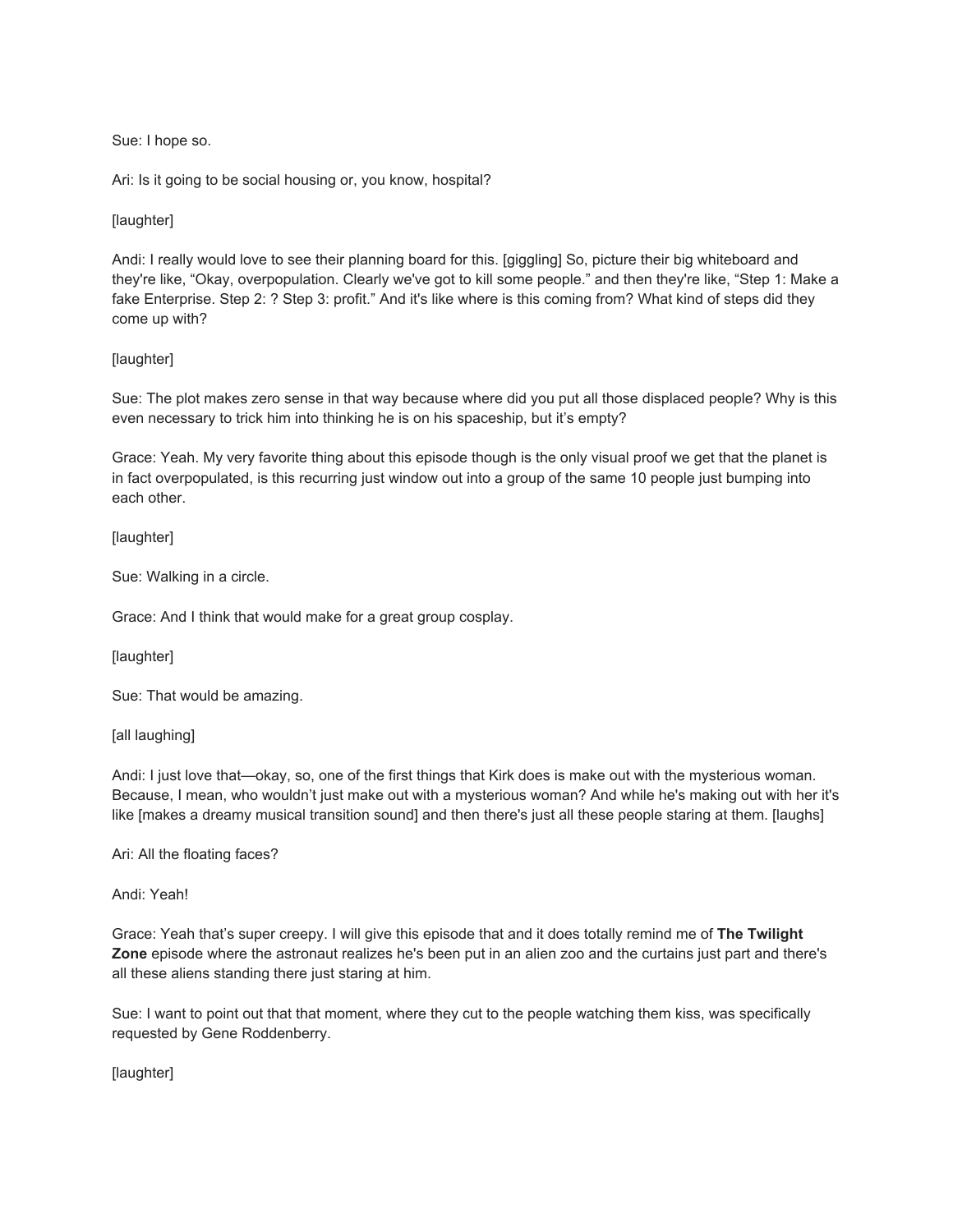Sue: I hope so.

Ari: Is it going to be social housing or, you know, hospital?

# [laughter]

Andi: I really would love to see their planning board for this. [giggling] So, picture their big whiteboard and they're like, "Okay, overpopulation. Clearly we've got to kill some people." and then they're like, "Step 1: Make a fake Enterprise. Step 2: ? Step 3: profit." And it's like where is this coming from? What kind of steps did they come up with?

# [laughter]

Sue: The plot makes zero sense in that way because where did you put all those displaced people? Why is this even necessary to trick him into thinking he is on his spaceship, but it's empty?

Grace: Yeah. My very favorite thing about this episode though is the only visual proof we get that the planet is in fact overpopulated, is this recurring just window out into a group of the same 10 people just bumping into each other.

[laughter]

Sue: Walking in a circle.

Grace: And I think that would make for a great group cosplay.

[laughter]

Sue: That would be amazing.

[all laughing]

Andi: I just love that—okay, so, one of the first things that Kirk does is make out with the mysterious woman. Because, I mean, who wouldn't just make out with a mysterious woman? And while he's making out with her it's like [makes a dreamy musical transition sound] and then there's just all these people staring at them. [laughs]

Ari: All the floating faces?

Andi: Yeah!

Grace: Yeah that's super creepy. I will give this episode that and it does totally remind me of **The Twilight Zone** episode where the astronaut realizes he's been put in an alien zoo and the curtains just part and there's all these aliens standing there just staring at him.

Sue: I want to point out that that moment, where they cut to the people watching them kiss, was specifically requested by Gene Roddenberry.

[laughter]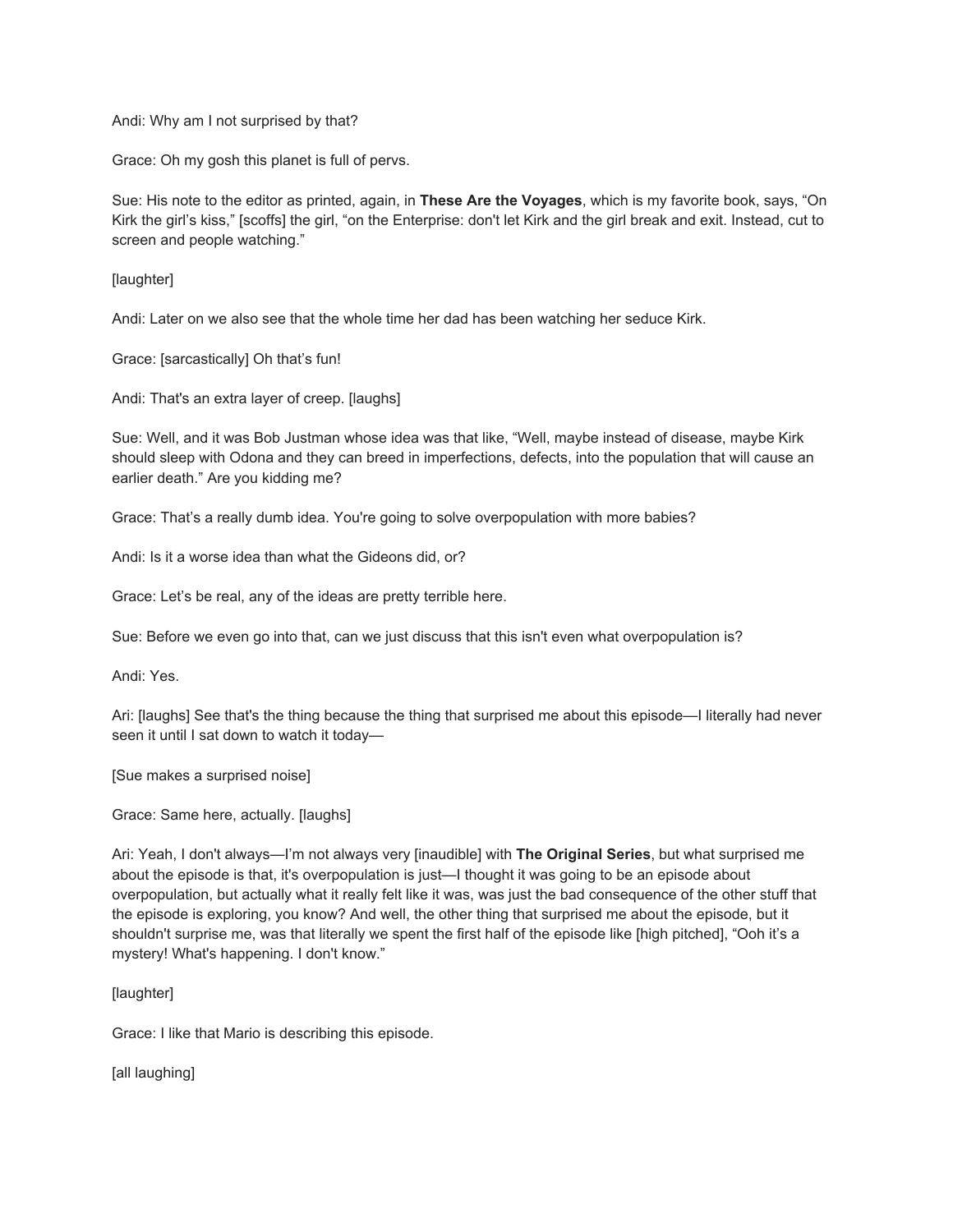Andi: Why am I not surprised by that?

Grace: Oh my gosh this planet is full of pervs.

Sue: His note to the editor as printed, again, in **These Are the Voyages**, which is my favorite book, says, "On Kirk the girl's kiss," [scoffs] the girl, "on the Enterprise: don't let Kirk and the girl break and exit. Instead, cut to screen and people watching."

[laughter]

Andi: Later on we also see that the whole time her dad has been watching her seduce Kirk.

Grace: [sarcastically] Oh that's fun!

Andi: That's an extra layer of creep. [laughs]

Sue: Well, and it was Bob Justman whose idea was that like, "Well, maybe instead of disease, maybe Kirk should sleep with Odona and they can breed in imperfections, defects, into the population that will cause an earlier death." Are you kidding me?

Grace: That's a really dumb idea. You're going to solve overpopulation with more babies?

Andi: Is it a worse idea than what the Gideons did, or?

Grace: Let's be real, any of the ideas are pretty terrible here.

Sue: Before we even go into that, can we just discuss that this isn't even what overpopulation is?

Andi: Yes.

Ari: [laughs] See that's the thing because the thing that surprised me about this episode—I literally had never seen it until I sat down to watch it today-

[Sue makes a surprised noise]

Grace: Same here, actually. [laughs]

Ari: Yeah, I don't always—I'm not always very [inaudible] with **The Original Series**, but what surprised me about the episode is that, it's overpopulation is just—I thought it was going to be an episode about overpopulation, but actually what it really felt like it was, was just the bad consequence of the other stuff that the episode is exploring, you know? And well, the other thing that surprised me about the episode, but it shouldn't surprise me, was that literally we spent the first half of the episode like [high pitched], "Ooh it's a mystery! What's happening. I don't know."

## [laughter]

Grace: I like that Mario is describing this episode.

[all laughing]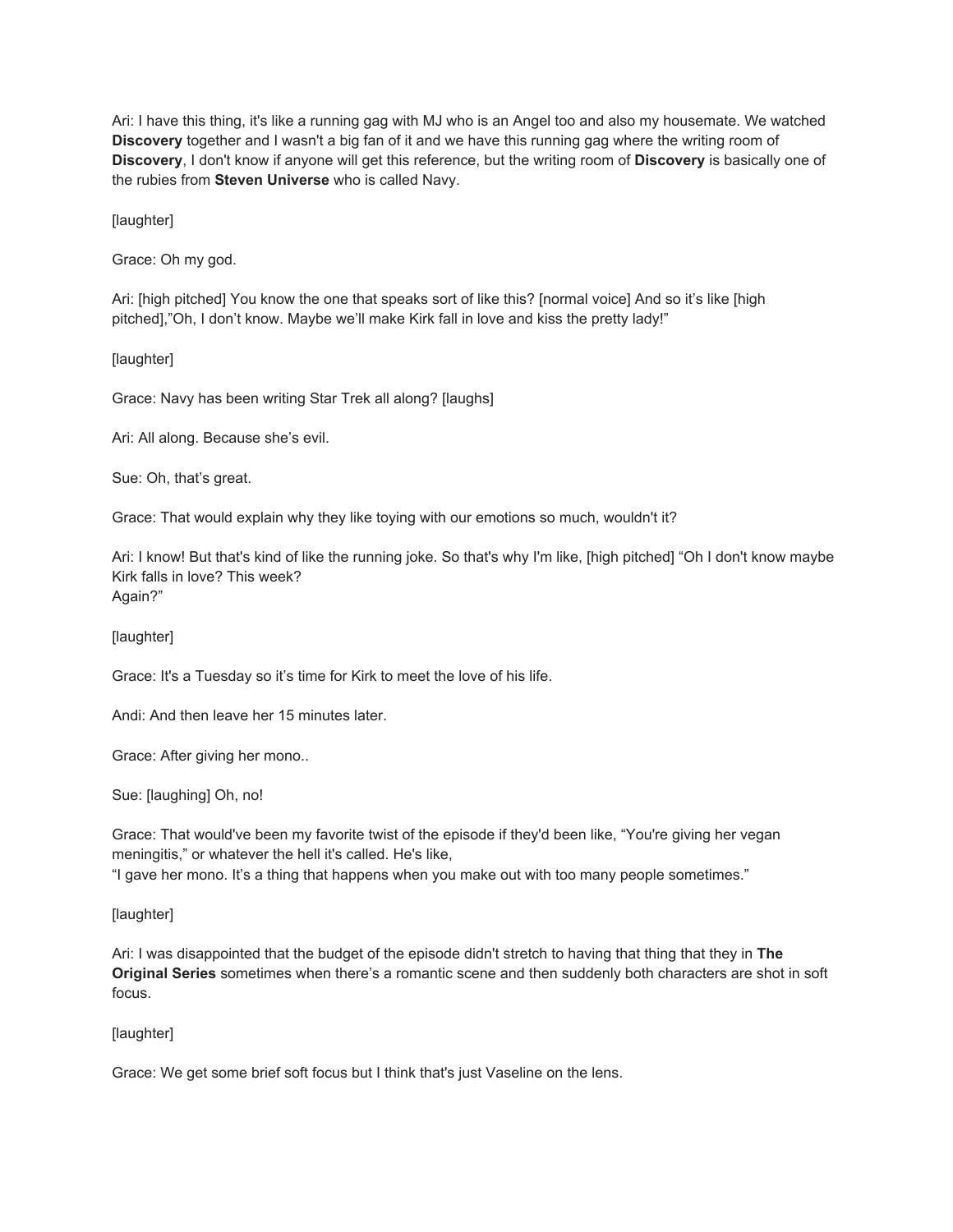Ari: I have this thing, it's like a running gag with MJ who is an Angel too and also my housemate. We watched **Discovery** together and I wasn't a big fan of it and we have this running gag where the writing room of **Discovery**, I don't know if anyone will get this reference, but the writing room of **Discovery** is basically one of the rubies from **Steven Universe** who is called Navy.

[laughter]

Grace: Oh my god.

Ari: [high pitched] You know the one that speaks sort of like this? [normal voice] And so it's like [high pitched],"Oh, I don't know. Maybe we'll make Kirk fall in love and kiss the pretty lady!"

[laughter]

Grace: Navy has been writing Star Trek all along? [laughs]

Ari: All along. Because she's evil.

Sue: Oh, that's great.

Grace: That would explain why they like toying with our emotions so much, wouldn't it?

Ari: I know! But that's kind of like the running joke. So that's why I'm like, [high pitched] "Oh I don't know maybe Kirk falls in love? This week? Again?"

[laughter]

Grace: It's a Tuesday so it's time for Kirk to meet the love of his life.

Andi: And then leave her 15 minutes later.

Grace: After giving her mono..

Sue: [laughing] Oh, no!

Grace: That would've been my favorite twist of the episode if they'd been like, "You're giving her vegan meningitis," or whatever the hell it's called. He's like, "I gave her mono. It's a thing that happens when you make out with too many people sometimes."

## [laughter]

Ari: I was disappointed that the budget of the episode didn't stretch to having that thing that they in **The Original Series** sometimes when there's a romantic scene and then suddenly both characters are shot in soft focus.

## [laughter]

Grace: We get some brief soft focus but I think that's just Vaseline on the lens.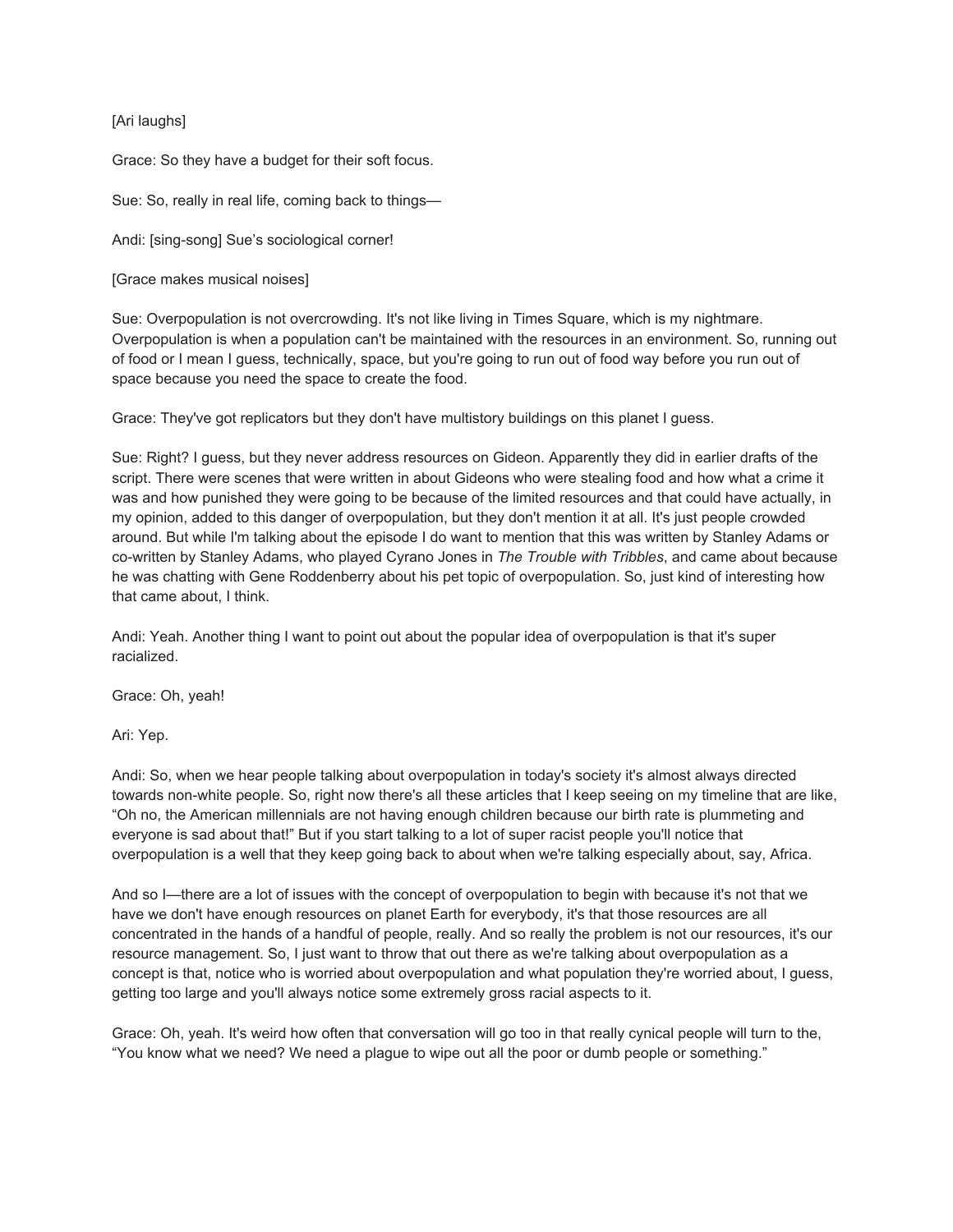# [Ari laughs]

Grace: So they have a budget for their soft focus.

Sue: So, really in real life, coming back to things—

Andi: [sing-song] Sue's sociological corner!

[Grace makes musical noises]

Sue: Overpopulation is not overcrowding. It's not like living in Times Square, which is my nightmare. Overpopulation is when a population can't be maintained with the resources in an environment. So, running out of food or I mean I guess, technically, space, but you're going to run out of food way before you run out of space because you need the space to create the food.

Grace: They've got replicators but they don't have multistory buildings on this planet I guess.

Sue: Right? I guess, but they never address resources on Gideon. Apparently they did in earlier drafts of the script. There were scenes that were written in about Gideons who were stealing food and how what a crime it was and how punished they were going to be because of the limited resources and that could have actually, in my opinion, added to this danger of overpopulation, but they don't mention it at all. It's just people crowded around. But while I'm talking about the episode I do want to mention that this was written by Stanley Adams or co-written by Stanley Adams, who played Cyrano Jones in *The Trouble with Tribbles*, and came about because he was chatting with Gene Roddenberry about his pet topic of overpopulation. So, just kind of interesting how that came about, I think.

Andi: Yeah. Another thing I want to point out about the popular idea of overpopulation is that it's super racialized.

Grace: Oh, yeah!

Ari: Yep.

Andi: So, when we hear people talking about overpopulation in today's society it's almost always directed towards non-white people. So, right now there's all these articles that I keep seeing on my timeline that are like, "Oh no, the American millennials are not having enough children because our birth rate is plummeting and everyone is sad about that!" But if you start talking to a lot of super racist people you'll notice that overpopulation is a well that they keep going back to about when we're talking especially about, say, Africa.

And so I—there are a lot of issues with the concept of overpopulation to begin with because it's not that we have we don't have enough resources on planet Earth for everybody, it's that those resources are all concentrated in the hands of a handful of people, really. And so really the problem is not our resources, it's our resource management. So, I just want to throw that out there as we're talking about overpopulation as a concept is that, notice who is worried about overpopulation and what population they're worried about, I guess, getting too large and you'll always notice some extremely gross racial aspects to it.

Grace: Oh, yeah. It's weird how often that conversation will go too in that really cynical people will turn to the, "You know what we need? We need a plague to wipe out all the poor or dumb people or something."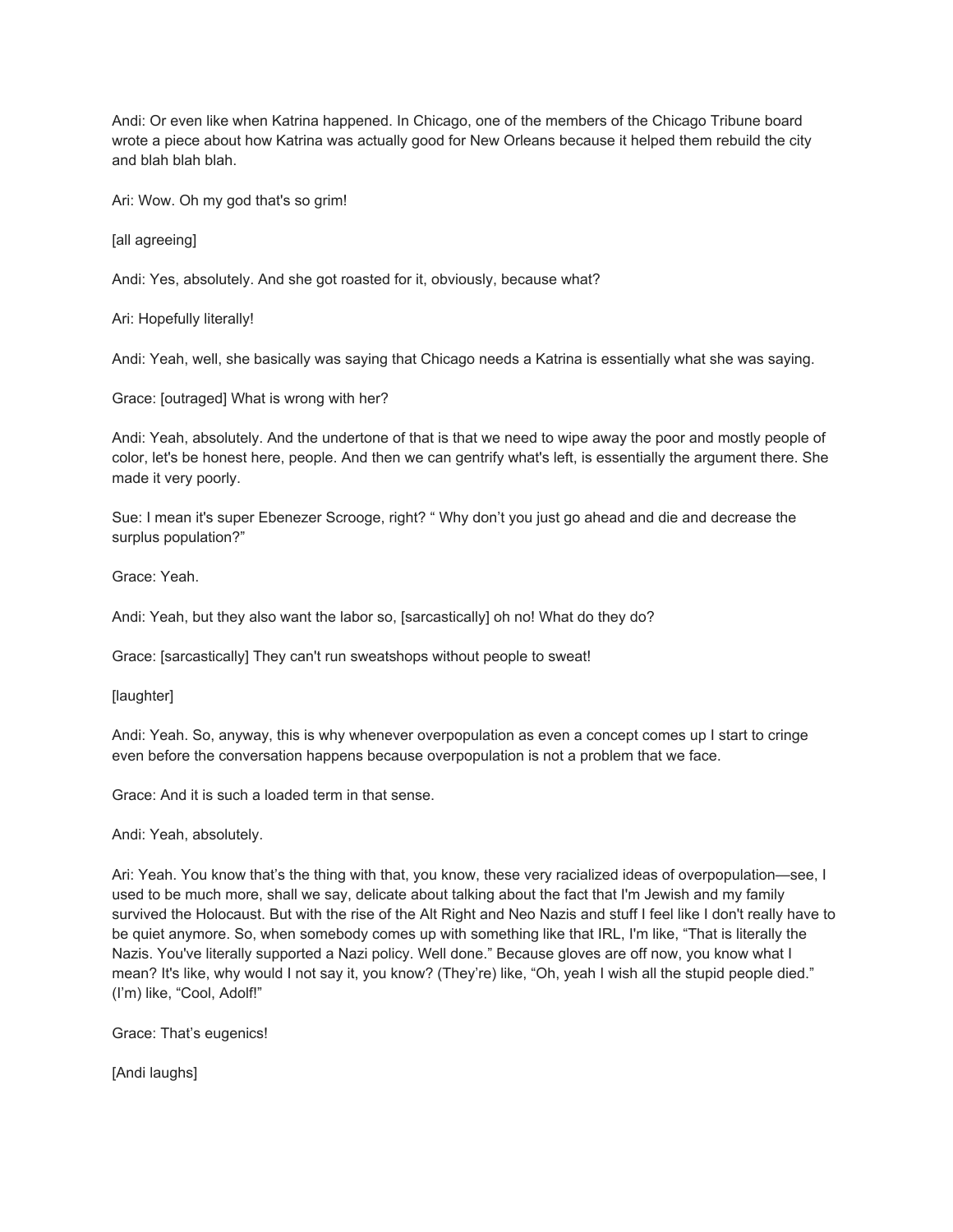Andi: Or even like when Katrina happened. In Chicago, one of the members of the Chicago Tribune board wrote a piece about how Katrina was actually good for New Orleans because it helped them rebuild the city and blah blah blah.

Ari: Wow. Oh my god that's so grim!

[all agreeing]

Andi: Yes, absolutely. And she got roasted for it, obviously, because what?

Ari: Hopefully literally!

Andi: Yeah, well, she basically was saying that Chicago needs a Katrina is essentially what she was saying.

Grace: [outraged] What is wrong with her?

Andi: Yeah, absolutely. And the undertone of that is that we need to wipe away the poor and mostly people of color, let's be honest here, people. And then we can gentrify what's left, is essentially the argument there. She made it very poorly.

Sue: I mean it's super Ebenezer Scrooge, right? " Why don't you just go ahead and die and decrease the surplus population?"

Grace: Yeah.

Andi: Yeah, but they also want the labor so, [sarcastically] oh no! What do they do?

Grace: [sarcastically] They can't run sweatshops without people to sweat!

[laughter]

Andi: Yeah. So, anyway, this is why whenever overpopulation as even a concept comes up I start to cringe even before the conversation happens because overpopulation is not a problem that we face.

Grace: And it is such a loaded term in that sense.

Andi: Yeah, absolutely.

Ari: Yeah. You know that's the thing with that, you know, these very racialized ideas of overpopulation—see, I used to be much more, shall we say, delicate about talking about the fact that I'm Jewish and my family survived the Holocaust. But with the rise of the Alt Right and Neo Nazis and stuff I feel like I don't really have to be quiet anymore. So, when somebody comes up with something like that IRL, I'm like, "That is literally the Nazis. You've literally supported a Nazi policy. Well done." Because gloves are off now, you know what I mean? It's like, why would I not say it, you know? (They're) like, "Oh, yeah I wish all the stupid people died." (I'm) like, "Cool, Adolf!"

Grace: That's eugenics!

[Andi laughs]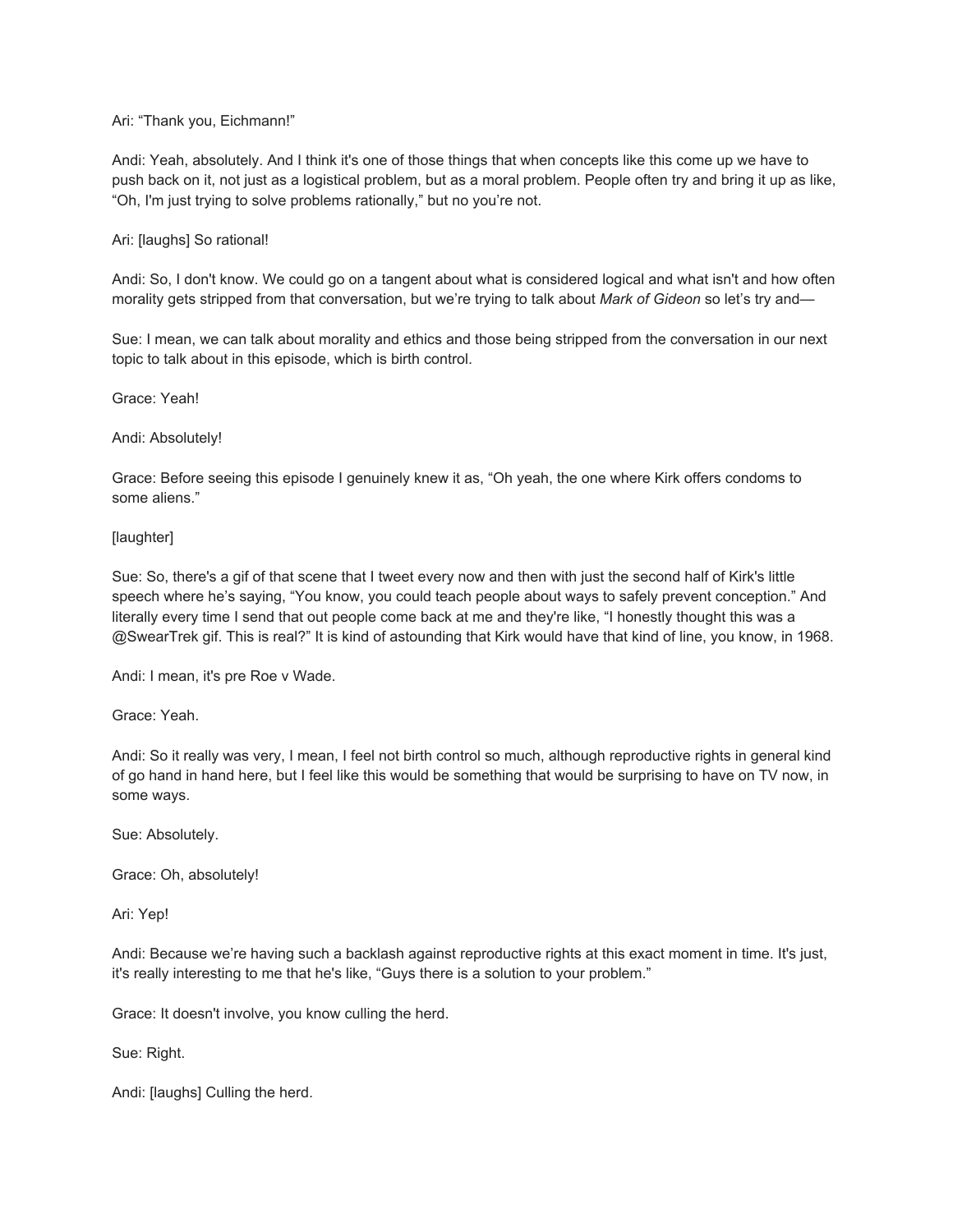### Ari: "Thank you, Eichmann!"

Andi: Yeah, absolutely. And I think it's one of those things that when concepts like this come up we have to push back on it, not just as a logistical problem, but as a moral problem. People often try and bring it up as like, "Oh, I'm just trying to solve problems rationally," but no you're not.

#### Ari: [laughs] So rational!

Andi: So, I don't know. We could go on a tangent about what is considered logical and what isn't and how often morality gets stripped from that conversation, but we're trying to talk about *Mark of Gideon* so let's try and—

Sue: I mean, we can talk about morality and ethics and those being stripped from the conversation in our next topic to talk about in this episode, which is birth control.

Grace: Yeah!

Andi: Absolutely!

Grace: Before seeing this episode I genuinely knew it as, "Oh yeah, the one where Kirk offers condoms to some aliens."

#### [laughter]

Sue: So, there's a gif of that scene that I tweet every now and then with just the second half of Kirk's little speech where he's saying, "You know, you could teach people about ways to safely prevent conception." And literally every time I send that out people come back at me and they're like, "I honestly thought this was a @SwearTrek gif. This is real?" It is kind of astounding that Kirk would have that kind of line, you know, in 1968.

Andi: I mean, it's pre Roe v Wade.

Grace: Yeah.

Andi: So it really was very, I mean, I feel not birth control so much, although reproductive rights in general kind of go hand in hand here, but I feel like this would be something that would be surprising to have on TV now, in some ways.

Sue: Absolutely.

Grace: Oh, absolutely!

Ari: Yep!

Andi: Because we're having such a backlash against reproductive rights at this exact moment in time. It's just, it's really interesting to me that he's like, "Guys there is a solution to your problem."

Grace: It doesn't involve, you know culling the herd.

Sue: Right.

Andi: [laughs] Culling the herd.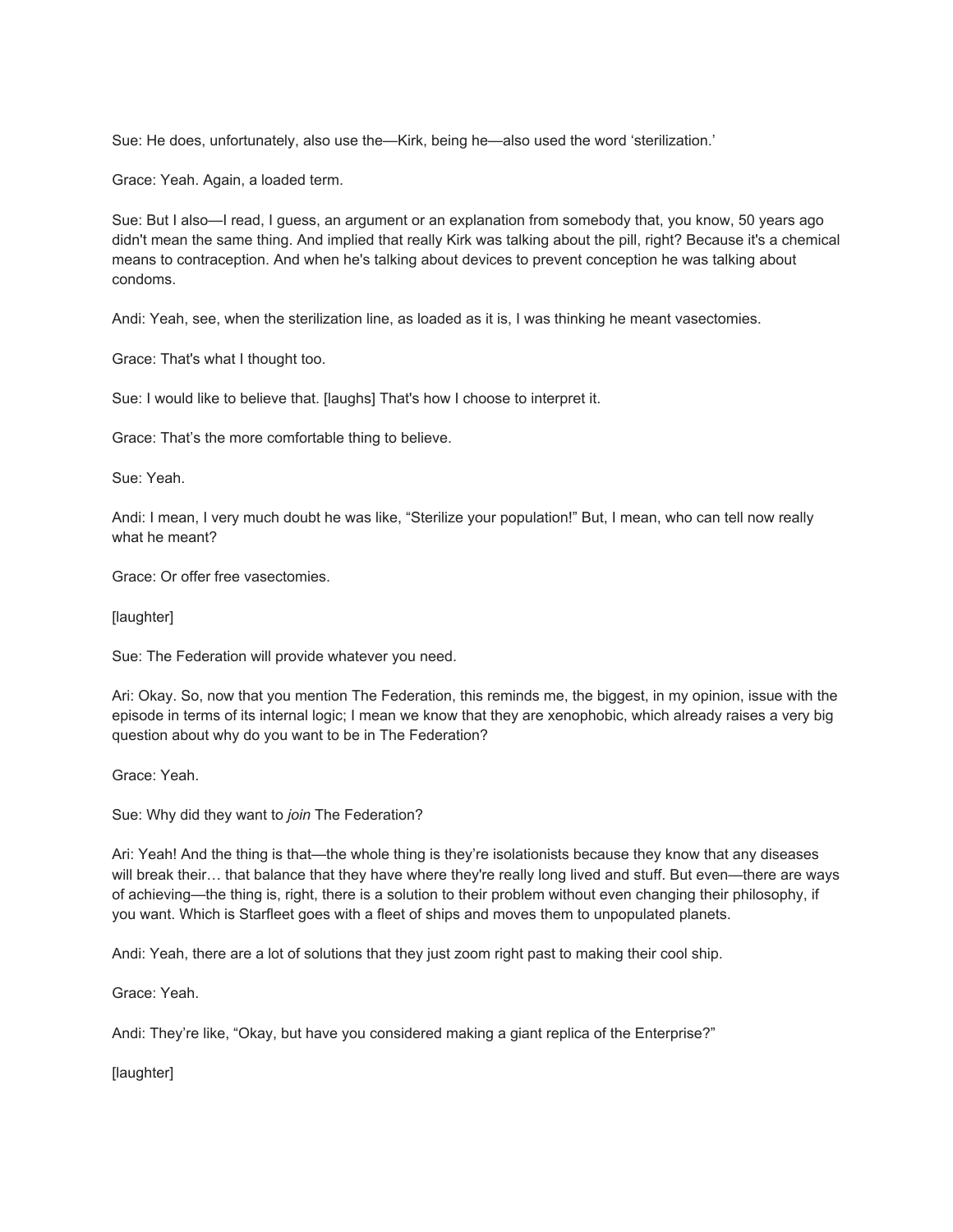Sue: He does, unfortunately, also use the—Kirk, being he—also used the word 'sterilization.'

Grace: Yeah. Again, a loaded term.

Sue: But I also—I read, I guess, an argument or an explanation from somebody that, you know, 50 years ago didn't mean the same thing. And implied that really Kirk was talking about the pill, right? Because it's a chemical means to contraception. And when he's talking about devices to prevent conception he was talking about condoms.

Andi: Yeah, see, when the sterilization line, as loaded as it is, I was thinking he meant vasectomies.

Grace: That's what I thought too.

Sue: I would like to believe that. [laughs] That's how I choose to interpret it.

Grace: That's the more comfortable thing to believe.

Sue: Yeah.

Andi: I mean, I very much doubt he was like, "Sterilize your population!" But, I mean, who can tell now really what he meant?

Grace: Or offer free vasectomies.

[laughter]

Sue: The Federation will provide whatever you need.

Ari: Okay. So, now that you mention The Federation, this reminds me, the biggest, in my opinion, issue with the episode in terms of its internal logic; I mean we know that they are xenophobic, which already raises a very big question about why do you want to be in The Federation?

Grace: Yeah.

Sue: Why did they want to *join* The Federation?

Ari: Yeah! And the thing is that—the whole thing is they're isolationists because they know that any diseases will break their... that balance that they have where they're really long lived and stuff. But even—there are ways of achieving—the thing is, right, there is a solution to their problem without even changing their philosophy, if you want. Which is Starfleet goes with a fleet of ships and moves them to unpopulated planets.

Andi: Yeah, there are a lot of solutions that they just zoom right past to making their cool ship.

Grace: Yeah.

Andi: They're like, "Okay, but have you considered making a giant replica of the Enterprise?"

[laughter]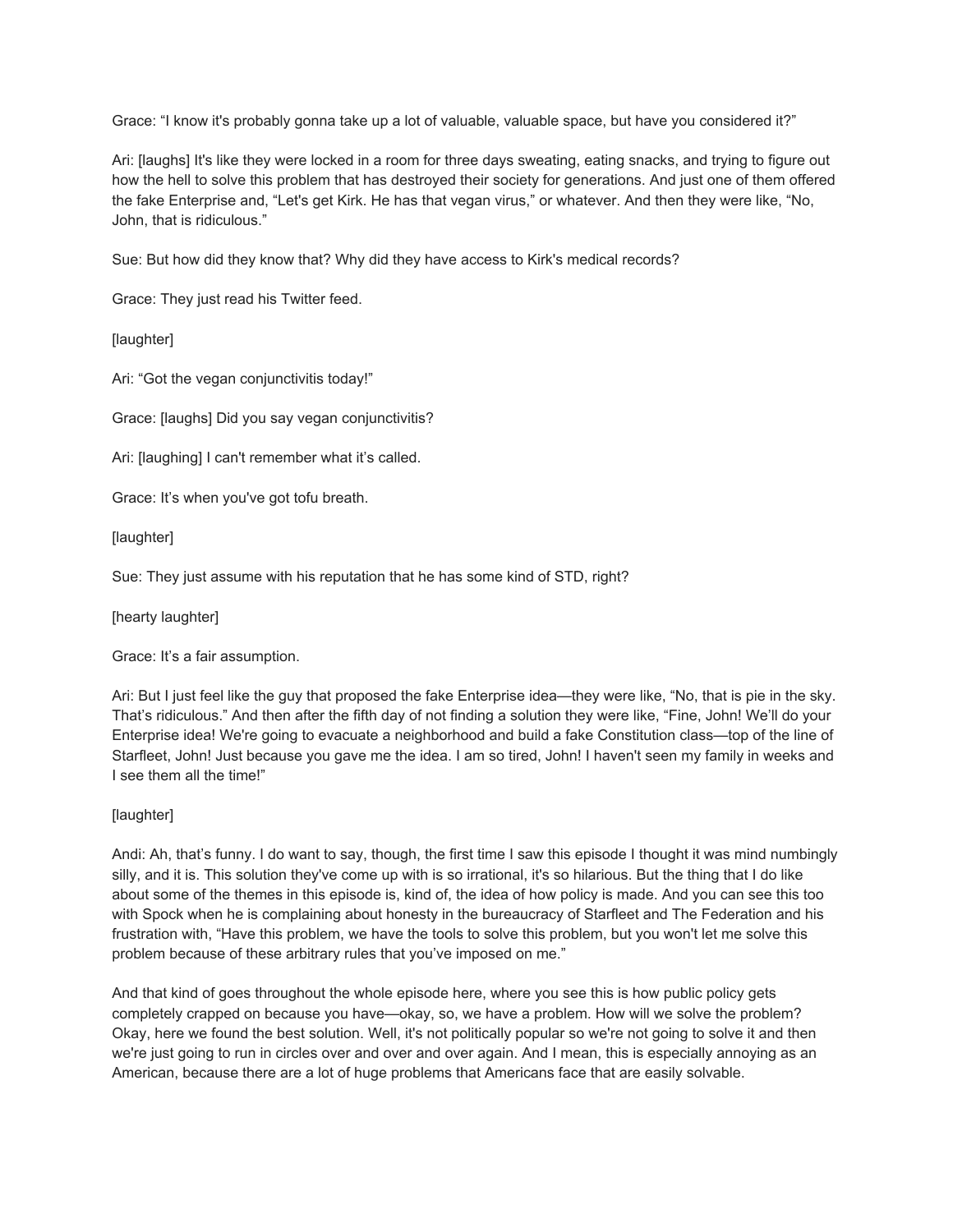Grace: "I know it's probably gonna take up a lot of valuable, valuable space, but have you considered it?"

Ari: [laughs] It's like they were locked in a room for three days sweating, eating snacks, and trying to figure out how the hell to solve this problem that has destroyed their society for generations. And just one of them offered the fake Enterprise and, "Let's get Kirk. He has that vegan virus," or whatever. And then they were like, "No, John, that is ridiculous."

Sue: But how did they know that? Why did they have access to Kirk's medical records?

Grace: They just read his Twitter feed.

[laughter]

Ari: "Got the vegan conjunctivitis today!"

Grace: [laughs] Did you say vegan conjunctivitis?

Ari: [laughing] I can't remember what it's called.

Grace: It's when you've got tofu breath.

[laughter]

Sue: They just assume with his reputation that he has some kind of STD, right?

[hearty laughter]

Grace: It's a fair assumption.

Ari: But I just feel like the guy that proposed the fake Enterprise idea—they were like, "No, that is pie in the sky. That's ridiculous." And then after the fifth day of not finding a solution they were like, "Fine, John! We'll do your Enterprise idea! We're going to evacuate a neighborhood and build a fake Constitution class—top of the line of Starfleet, John! Just because you gave me the idea. I am so tired, John! I haven't seen my family in weeks and I see them all the time!"

[laughter]

Andi: Ah, that's funny. I do want to say, though, the first time I saw this episode I thought it was mind numbingly silly, and it is. This solution they've come up with is so irrational, it's so hilarious. But the thing that I do like about some of the themes in this episode is, kind of, the idea of how policy is made. And you can see this too with Spock when he is complaining about honesty in the bureaucracy of Starfleet and The Federation and his frustration with, "Have this problem, we have the tools to solve this problem, but you won't let me solve this problem because of these arbitrary rules that you've imposed on me."

And that kind of goes throughout the whole episode here, where you see this is how public policy gets completely crapped on because you have—okay, so, we have a problem. How will we solve the problem? Okay, here we found the best solution. Well, it's not politically popular so we're not going to solve it and then we're just going to run in circles over and over and over again. And I mean, this is especially annoying as an American, because there are a lot of huge problems that Americans face that are easily solvable.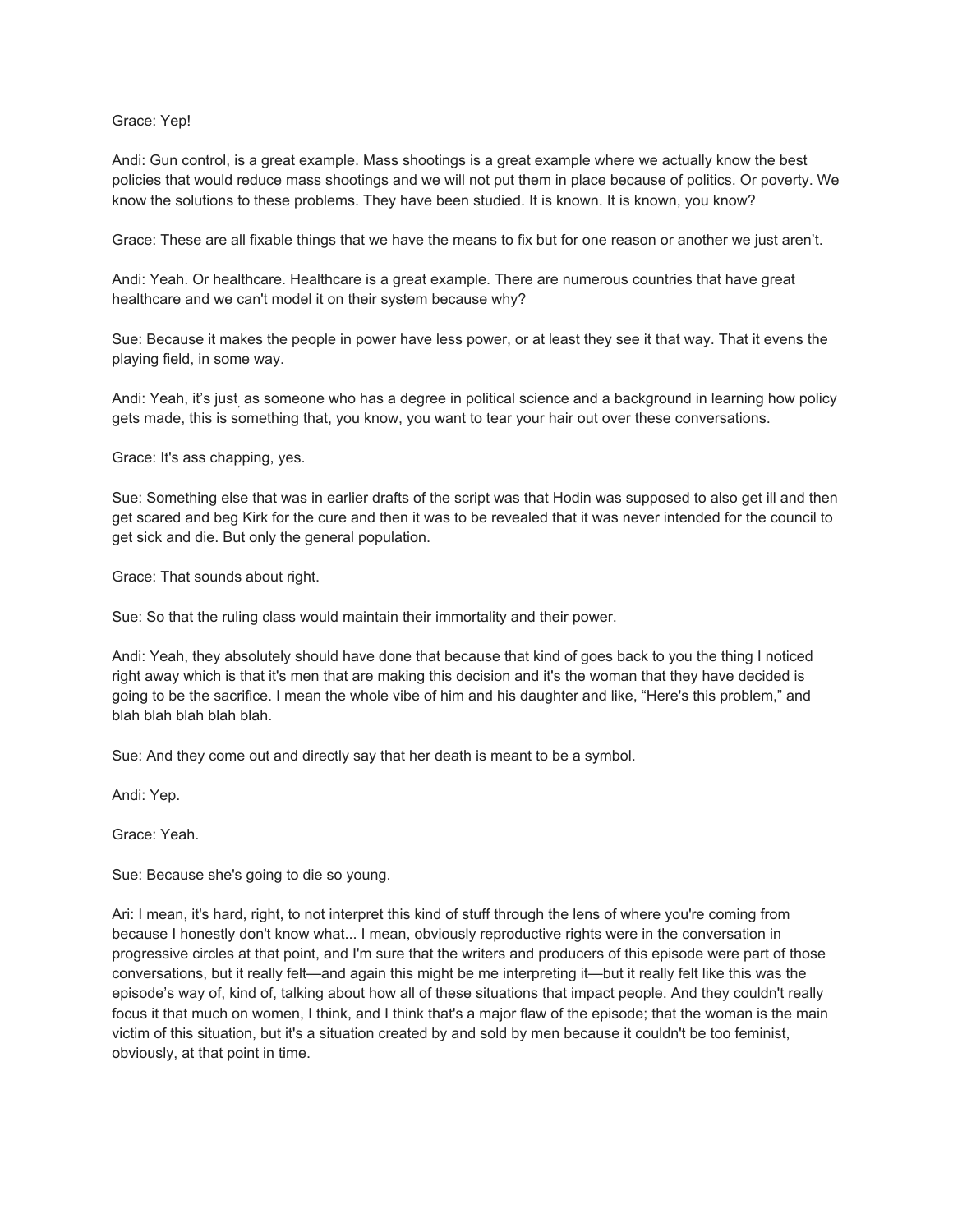#### Grace: Yep!

Andi: Gun control, is a great example. Mass shootings is a great example where we actually know the best policies that would reduce mass shootings and we will not put them in place because of politics. Or poverty. We know the solutions to these problems. They have been studied. It is known. It is known, you know?

Grace: These are all fixable things that we have the means to fix but for one reason or another we just aren't.

Andi: Yeah. Or healthcare. Healthcare is a great example. There are numerous countries that have great healthcare and we can't model it on their system because why?

Sue: Because it makes the people in power have less power, or at least they see it that way. That it evens the playing field, in some way.

Andi: Yeah, it's just<sub>,</sub> as someone who has a degree in political science and a background in learning how policy gets made, this is something that, you know, you want to tear your hair out over these conversations.

Grace: It's ass chapping, yes.

Sue: Something else that was in earlier drafts of the script was that Hodin was supposed to also get ill and then get scared and beg Kirk for the cure and then it was to be revealed that it was never intended for the council to get sick and die. But only the general population.

Grace: That sounds about right.

Sue: So that the ruling class would maintain their immortality and their power.

Andi: Yeah, they absolutely should have done that because that kind of goes back to you the thing I noticed right away which is that it's men that are making this decision and it's the woman that they have decided is going to be the sacrifice. I mean the whole vibe of him and his daughter and like, "Here's this problem," and blah blah blah blah blah.

Sue: And they come out and directly say that her death is meant to be a symbol.

Andi: Yep.

Grace: Yeah.

Sue: Because she's going to die so young.

Ari: I mean, it's hard, right, to not interpret this kind of stuff through the lens of where you're coming from because I honestly don't know what... I mean, obviously reproductive rights were in the conversation in progressive circles at that point, and I'm sure that the writers and producers of this episode were part of those conversations, but it really felt—and again this might be me interpreting it—but it really felt like this was the episode's way of, kind of, talking about how all of these situations that impact people. And they couldn't really focus it that much on women, I think, and I think that's a major flaw of the episode; that the woman is the main victim of this situation, but it's a situation created by and sold by men because it couldn't be too feminist, obviously, at that point in time.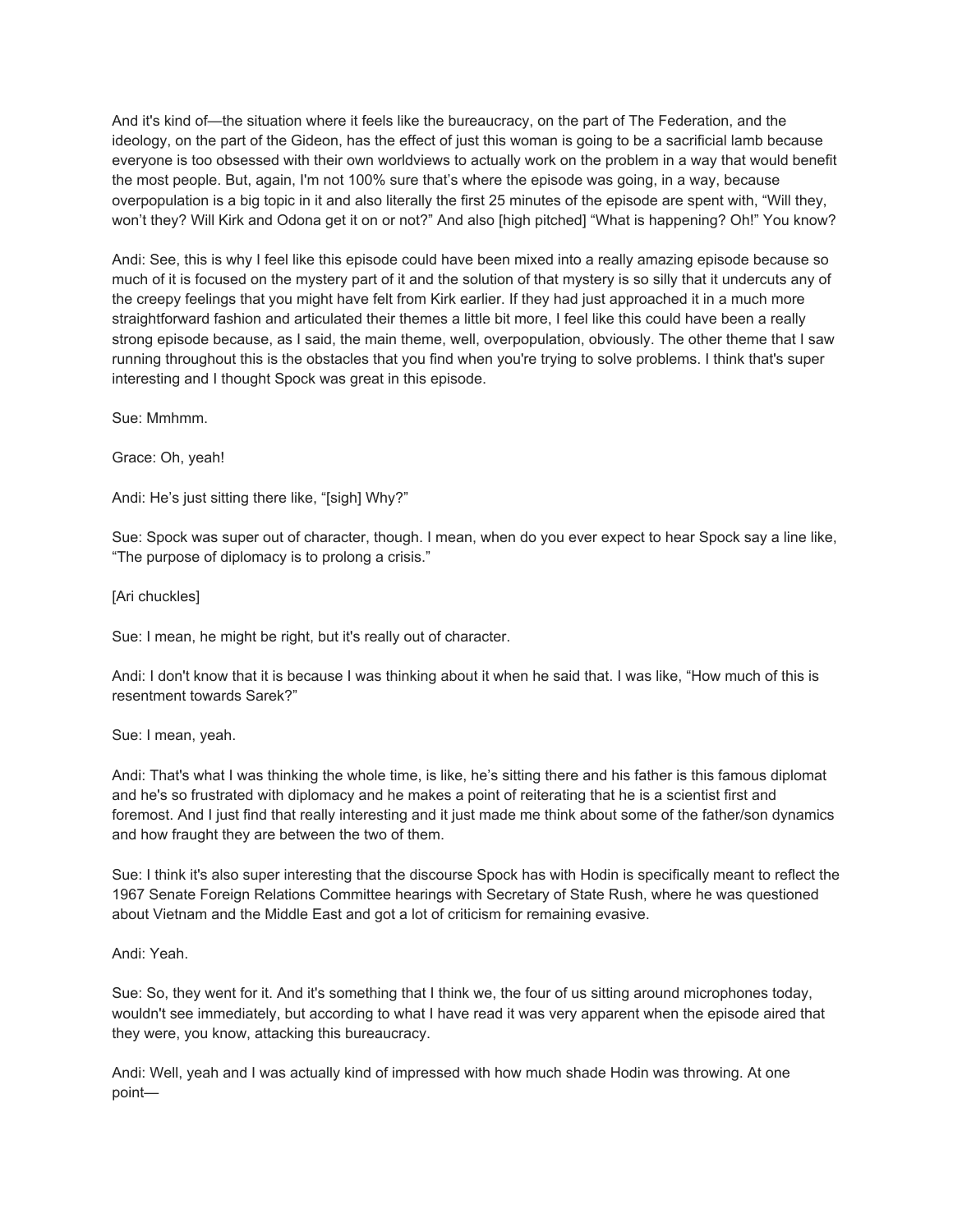And it's kind of—the situation where it feels like the bureaucracy, on the part of The Federation, and the ideology, on the part of the Gideon, has the effect of just this woman is going to be a sacrificial lamb because everyone is too obsessed with their own worldviews to actually work on the problem in a way that would benefit the most people. But, again, I'm not 100% sure that's where the episode was going, in a way, because overpopulation is a big topic in it and also literally the first 25 minutes of the episode are spent with, "Will they, won't they? Will Kirk and Odona get it on or not?" And also [high pitched] "What is happening? Oh!" You know?

Andi: See, this is why I feel like this episode could have been mixed into a really amazing episode because so much of it is focused on the mystery part of it and the solution of that mystery is so silly that it undercuts any of the creepy feelings that you might have felt from Kirk earlier. If they had just approached it in a much more straightforward fashion and articulated their themes a little bit more, I feel like this could have been a really strong episode because, as I said, the main theme, well, overpopulation, obviously. The other theme that I saw running throughout this is the obstacles that you find when you're trying to solve problems. I think that's super interesting and I thought Spock was great in this episode.

Sue: Mmhmm.

Grace: Oh, yeah!

Andi: He's just sitting there like, "[sigh] Why?"

Sue: Spock was super out of character, though. I mean, when do you ever expect to hear Spock say a line like, "The purpose of diplomacy is to prolong a crisis."

[Ari chuckles]

Sue: I mean, he might be right, but it's really out of character.

Andi: I don't know that it is because I was thinking about it when he said that. I was like, "How much of this is resentment towards Sarek?"

Sue: I mean, yeah.

Andi: That's what I was thinking the whole time, is like, he's sitting there and his father is this famous diplomat and he's so frustrated with diplomacy and he makes a point of reiterating that he is a scientist first and foremost. And I just find that really interesting and it just made me think about some of the father/son dynamics and how fraught they are between the two of them.

Sue: I think it's also super interesting that the discourse Spock has with Hodin is specifically meant to reflect the 1967 Senate Foreign Relations Committee hearings with Secretary of State Rush, where he was questioned about Vietnam and the Middle East and got a lot of criticism for remaining evasive.

Andi: Yeah.

Sue: So, they went for it. And it's something that I think we, the four of us sitting around microphones today, wouldn't see immediately, but according to what I have read it was very apparent when the episode aired that they were, you know, attacking this bureaucracy.

Andi: Well, yeah and I was actually kind of impressed with how much shade Hodin was throwing. At one point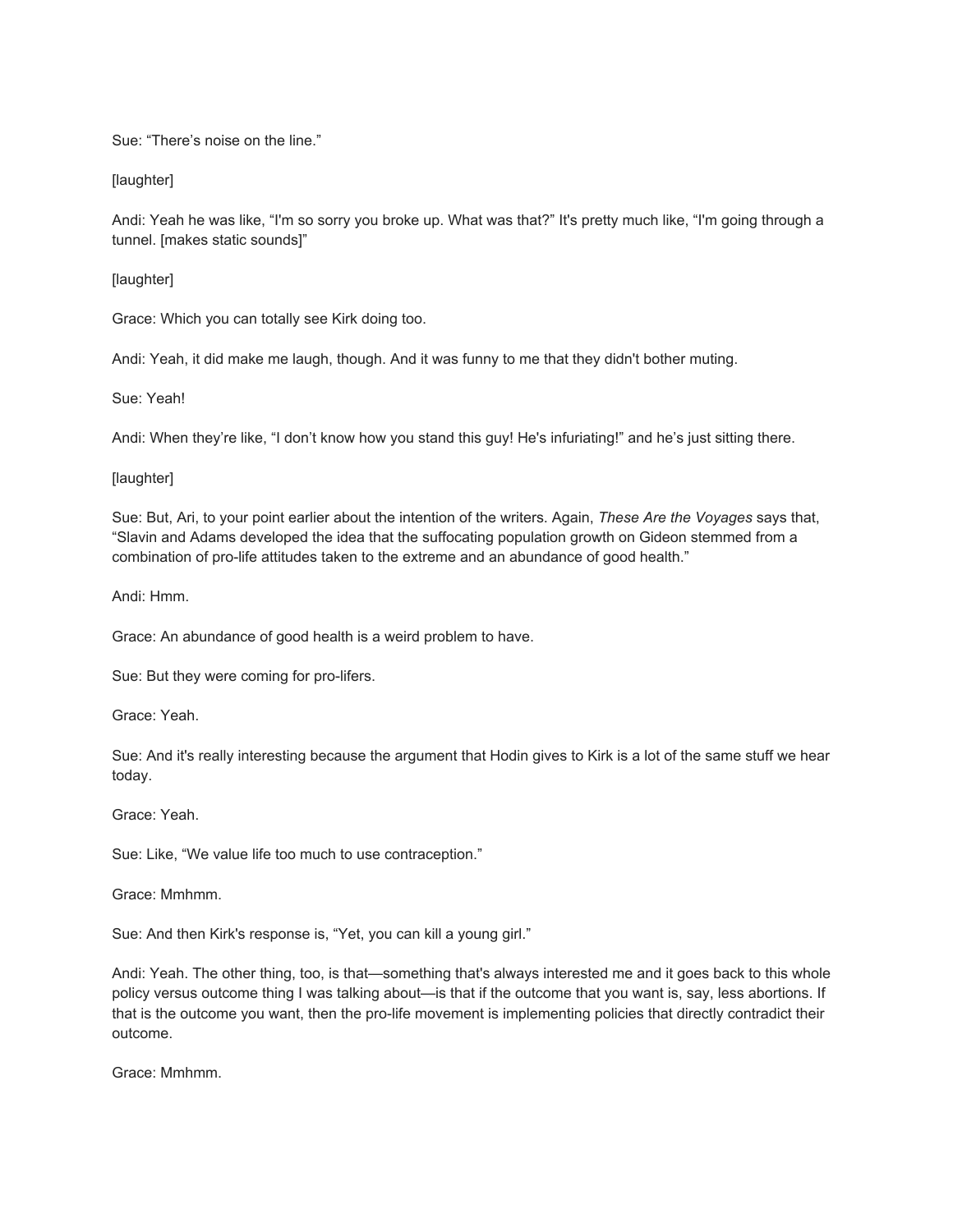Sue: "There's noise on the line."

[laughter]

Andi: Yeah he was like, "I'm so sorry you broke up. What was that?" It's pretty much like, "I'm going through a tunnel. [makes static sounds]"

[laughter]

Grace: Which you can totally see Kirk doing too.

Andi: Yeah, it did make me laugh, though. And it was funny to me that they didn't bother muting.

Sue: Yeah!

Andi: When they're like, "I don't know how you stand this guy! He's infuriating!" and he's just sitting there.

[laughter]

Sue: But, Ari, to your point earlier about the intention of the writers. Again, *These Are the Voyages* says that, "Slavin and Adams developed the idea that the suffocating population growth on Gideon stemmed from a combination of pro-life attitudes taken to the extreme and an abundance of good health."

Andi: Hmm.

Grace: An abundance of good health is a weird problem to have.

Sue: But they were coming for pro-lifers.

Grace: Yeah.

Sue: And it's really interesting because the argument that Hodin gives to Kirk is a lot of the same stuff we hear today.

Grace: Yeah.

Sue: Like, "We value life too much to use contraception."

Grace: Mmhmm.

Sue: And then Kirk's response is, "Yet, you can kill a young girl."

Andi: Yeah. The other thing, too, is that—something that's always interested me and it goes back to this whole policy versus outcome thing I was talking about—is that if the outcome that you want is, say, less abortions. If that is the outcome you want, then the pro-life movement is implementing policies that directly contradict their outcome.

Grace: Mmhmm.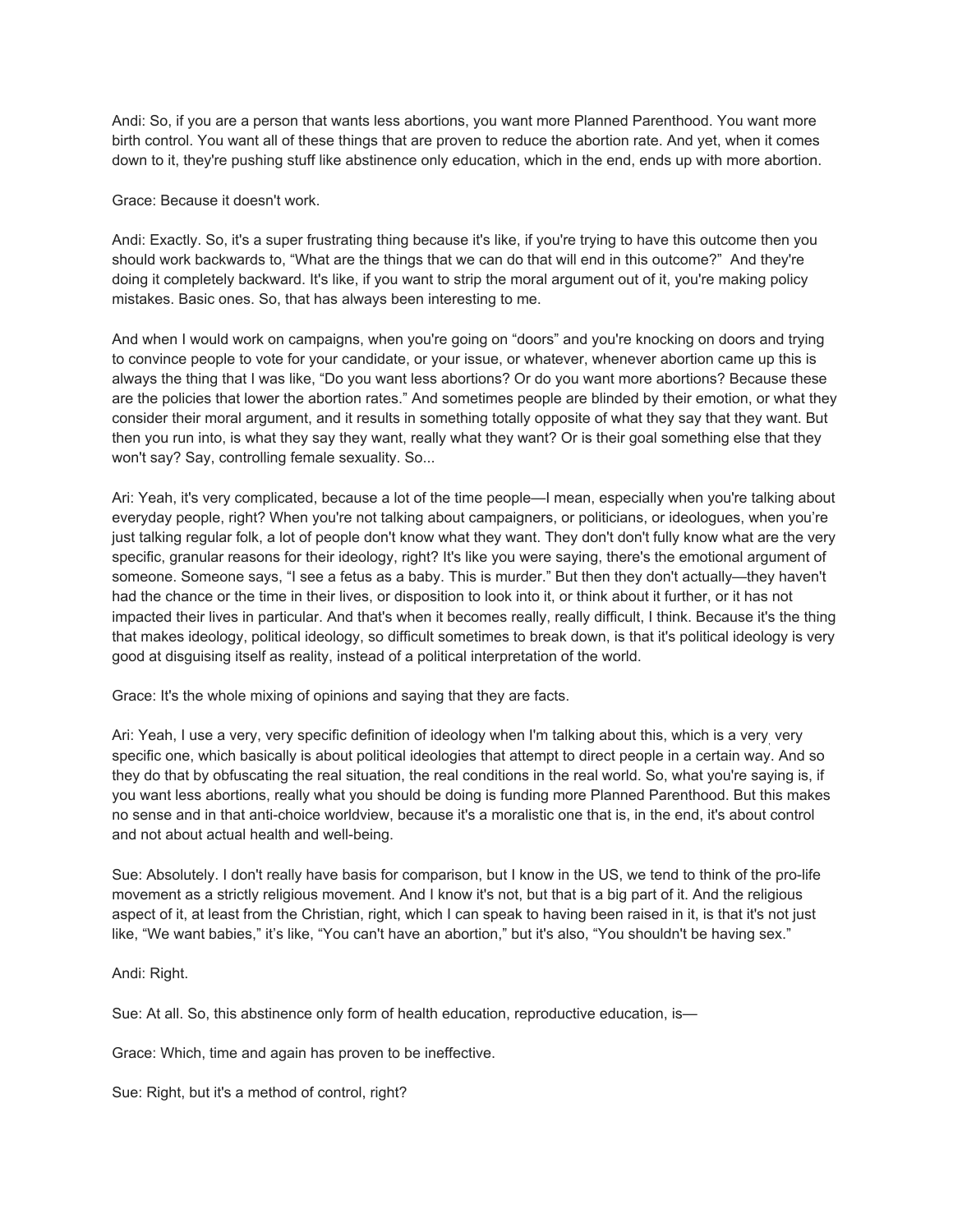Andi: So, if you are a person that wants less abortions, you want more Planned Parenthood. You want more birth control. You want all of these things that are proven to reduce the abortion rate. And yet, when it comes down to it, they're pushing stuff like abstinence only education, which in the end, ends up with more abortion.

Grace: Because it doesn't work.

Andi: Exactly. So, it's a super frustrating thing because it's like, if you're trying to have this outcome then you should work backwards to, "What are the things that we can do that will end in this outcome?" And they're doing it completely backward. It's like, if you want to strip the moral argument out of it, you're making policy mistakes. Basic ones. So, that has always been interesting to me.

And when I would work on campaigns, when you're going on "doors" and you're knocking on doors and trying to convince people to vote for your candidate, or your issue, or whatever, whenever abortion came up this is always the thing that I was like, "Do you want less abortions? Or do you want more abortions? Because these are the policies that lower the abortion rates." And sometimes people are blinded by their emotion, or what they consider their moral argument, and it results in something totally opposite of what they say that they want. But then you run into, is what they say they want, really what they want? Or is their goal something else that they won't say? Say, controlling female sexuality. So...

Ari: Yeah, it's very complicated, because a lot of the time people—I mean, especially when you're talking about everyday people, right? When you're not talking about campaigners, or politicians, or ideologues, when you're just talking regular folk, a lot of people don't know what they want. They don't don't fully know what are the very specific, granular reasons for their ideology, right? It's like you were saying, there's the emotional argument of someone. Someone says, "I see a fetus as a baby. This is murder." But then they don't actually—they haven't had the chance or the time in their lives, or disposition to look into it, or think about it further, or it has not impacted their lives in particular. And that's when it becomes really, really difficult, I think. Because it's the thing that makes ideology, political ideology, so difficult sometimes to break down, is that it's political ideology is very good at disguising itself as reality, instead of a political interpretation of the world.

Grace: It's the whole mixing of opinions and saying that they are facts.

Ari: Yeah, I use a very, very specific definition of ideology when I'm talking about this, which is a very very specific one, which basically is about political ideologies that attempt to direct people in a certain way. And so they do that by obfuscating the real situation, the real conditions in the real world. So, what you're saying is, if you want less abortions, really what you should be doing is funding more Planned Parenthood. But this makes no sense and in that anti-choice worldview, because it's a moralistic one that is, in the end, it's about control and not about actual health and well-being.

Sue: Absolutely. I don't really have basis for comparison, but I know in the US, we tend to think of the pro-life movement as a strictly religious movement. And I know it's not, but that is a big part of it. And the religious aspect of it, at least from the Christian, right, which I can speak to having been raised in it, is that it's not just like, "We want babies," it's like, "You can't have an abortion," but it's also, "You shouldn't be having sex."

Andi: Right.

Sue: At all. So, this abstinence only form of health education, reproductive education, is—

Grace: Which, time and again has proven to be ineffective.

Sue: Right, but it's a method of control, right?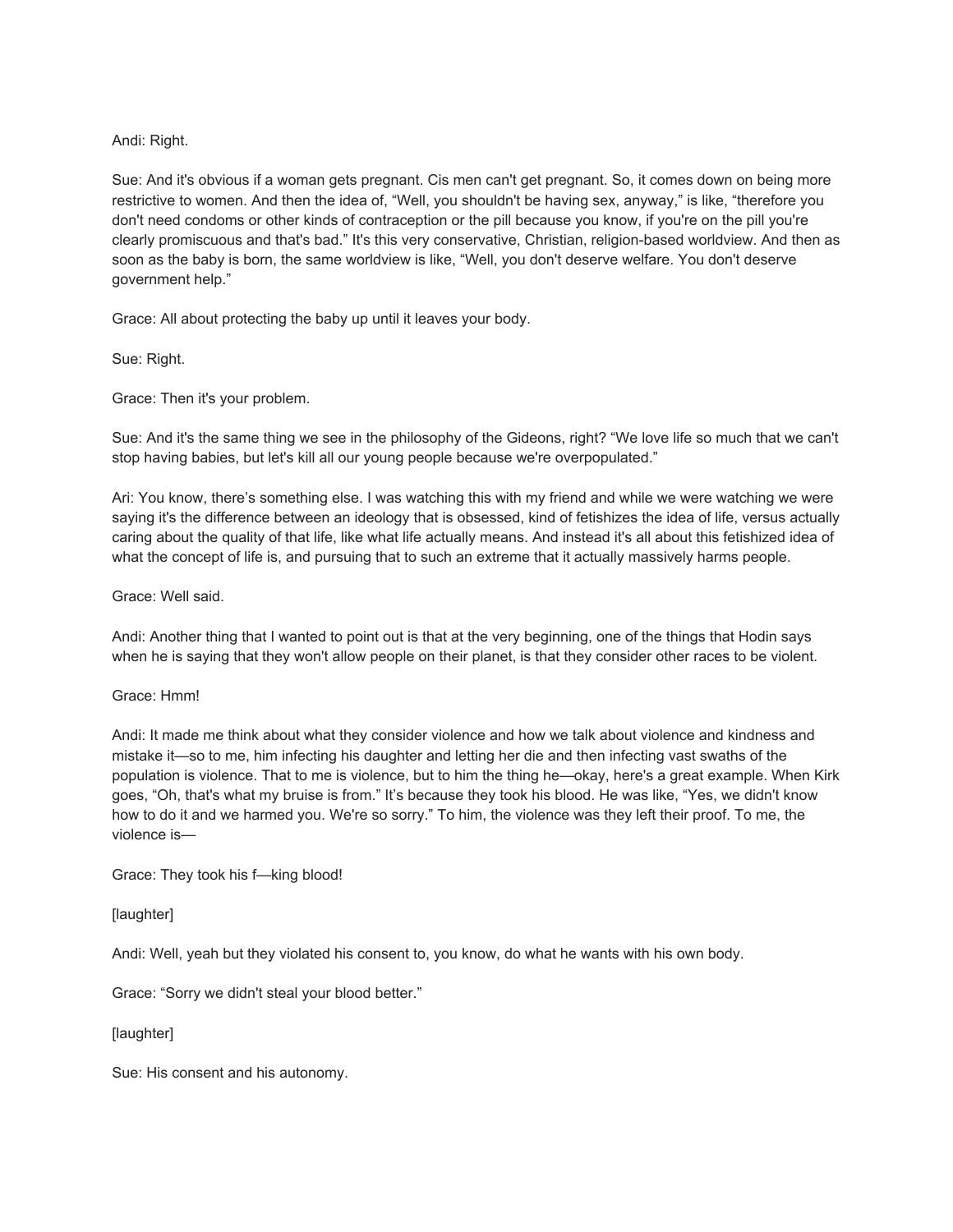## Andi: Right.

Sue: And it's obvious if a woman gets pregnant. Cis men can't get pregnant. So, it comes down on being more restrictive to women. And then the idea of, "Well, you shouldn't be having sex, anyway," is like, "therefore you don't need condoms or other kinds of contraception or the pill because you know, if you're on the pill you're clearly promiscuous and that's bad." It's this very conservative, Christian, religion-based worldview. And then as soon as the baby is born, the same worldview is like, "Well, you don't deserve welfare. You don't deserve government help."

Grace: All about protecting the baby up until it leaves your body.

Sue: Right.

Grace: Then it's your problem.

Sue: And it's the same thing we see in the philosophy of the Gideons, right? "We love life so much that we can't stop having babies, but let's kill all our young people because we're overpopulated."

Ari: You know, there's something else. I was watching this with my friend and while we were watching we were saying it's the difference between an ideology that is obsessed, kind of fetishizes the idea of life, versus actually caring about the quality of that life, like what life actually means. And instead it's all about this fetishized idea of what the concept of life is, and pursuing that to such an extreme that it actually massively harms people.

Grace: Well said.

Andi: Another thing that I wanted to point out is that at the very beginning, one of the things that Hodin says when he is saying that they won't allow people on their planet, is that they consider other races to be violent.

Grace: Hmm!

Andi: It made me think about what they consider violence and how we talk about violence and kindness and mistake it—so to me, him infecting his daughter and letting her die and then infecting vast swaths of the population is violence. That to me is violence, but to him the thing he—okay, here's a great example. When Kirk goes, "Oh, that's what my bruise is from." It's because they took his blood. He was like, "Yes, we didn't know how to do it and we harmed you. We're so sorry." To him, the violence was they left their proof. To me, the violence is—

Grace: They took his f—king blood!

[laughter]

Andi: Well, yeah but they violated his consent to, you know, do what he wants with his own body.

Grace: "Sorry we didn't steal your blood better."

[laughter]

Sue: His consent and his autonomy.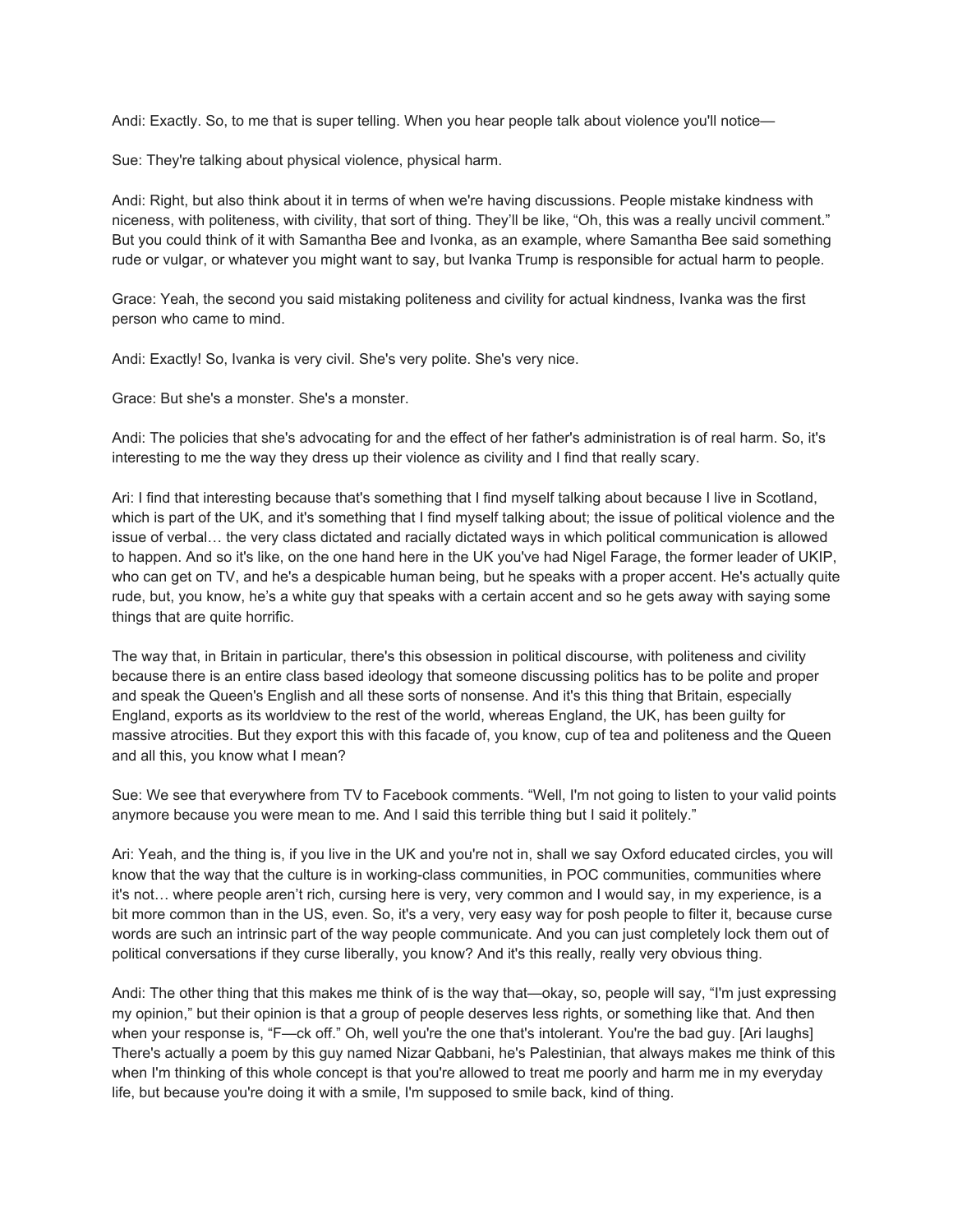Andi: Exactly. So, to me that is super telling. When you hear people talk about violence you'll notice—

Sue: They're talking about physical violence, physical harm.

Andi: Right, but also think about it in terms of when we're having discussions. People mistake kindness with niceness, with politeness, with civility, that sort of thing. They'll be like, "Oh, this was a really uncivil comment." But you could think of it with Samantha Bee and Ivonka, as an example, where Samantha Bee said something rude or vulgar, or whatever you might want to say, but Ivanka Trump is responsible for actual harm to people.

Grace: Yeah, the second you said mistaking politeness and civility for actual kindness, Ivanka was the first person who came to mind.

Andi: Exactly! So, Ivanka is very civil. She's very polite. She's very nice.

Grace: But she's a monster. She's a monster.

Andi: The policies that she's advocating for and the effect of her father's administration is of real harm. So, it's interesting to me the way they dress up their violence as civility and I find that really scary.

Ari: I find that interesting because that's something that I find myself talking about because I live in Scotland, which is part of the UK, and it's something that I find myself talking about; the issue of political violence and the issue of verbal… the very class dictated and racially dictated ways in which political communication is allowed to happen. And so it's like, on the one hand here in the UK you've had Nigel Farage, the former leader of UKIP, who can get on TV, and he's a despicable human being, but he speaks with a proper accent. He's actually quite rude, but, you know, he's a white guy that speaks with a certain accent and so he gets away with saying some things that are quite horrific.

The way that, in Britain in particular, there's this obsession in political discourse, with politeness and civility because there is an entire class based ideology that someone discussing politics has to be polite and proper and speak the Queen's English and all these sorts of nonsense. And it's this thing that Britain, especially England, exports as its worldview to the rest of the world, whereas England, the UK, has been guilty for massive atrocities. But they export this with this facade of, you know, cup of tea and politeness and the Queen and all this, you know what I mean?

Sue: We see that everywhere from TV to Facebook comments. "Well, I'm not going to listen to your valid points anymore because you were mean to me. And I said this terrible thing but I said it politely."

Ari: Yeah, and the thing is, if you live in the UK and you're not in, shall we say Oxford educated circles, you will know that the way that the culture is in working-class communities, in POC communities, communities where it's not… where people aren't rich, cursing here is very, very common and I would say, in my experience, is a bit more common than in the US, even. So, it's a very, very easy way for posh people to filter it, because curse words are such an intrinsic part of the way people communicate. And you can just completely lock them out of political conversations if they curse liberally, you know? And it's this really, really very obvious thing.

Andi: The other thing that this makes me think of is the way that—okay, so, people will say, "I'm just expressing my opinion," but their opinion is that a group of people deserves less rights, or something like that. And then when your response is, "F—ck off." Oh, well you're the one that's intolerant. You're the bad guy. [Ari laughs] There's actually a poem by this guy named Nizar Qabbani, he's Palestinian, that always makes me think of this when I'm thinking of this whole concept is that you're allowed to treat me poorly and harm me in my everyday life, but because you're doing it with a smile, I'm supposed to smile back, kind of thing.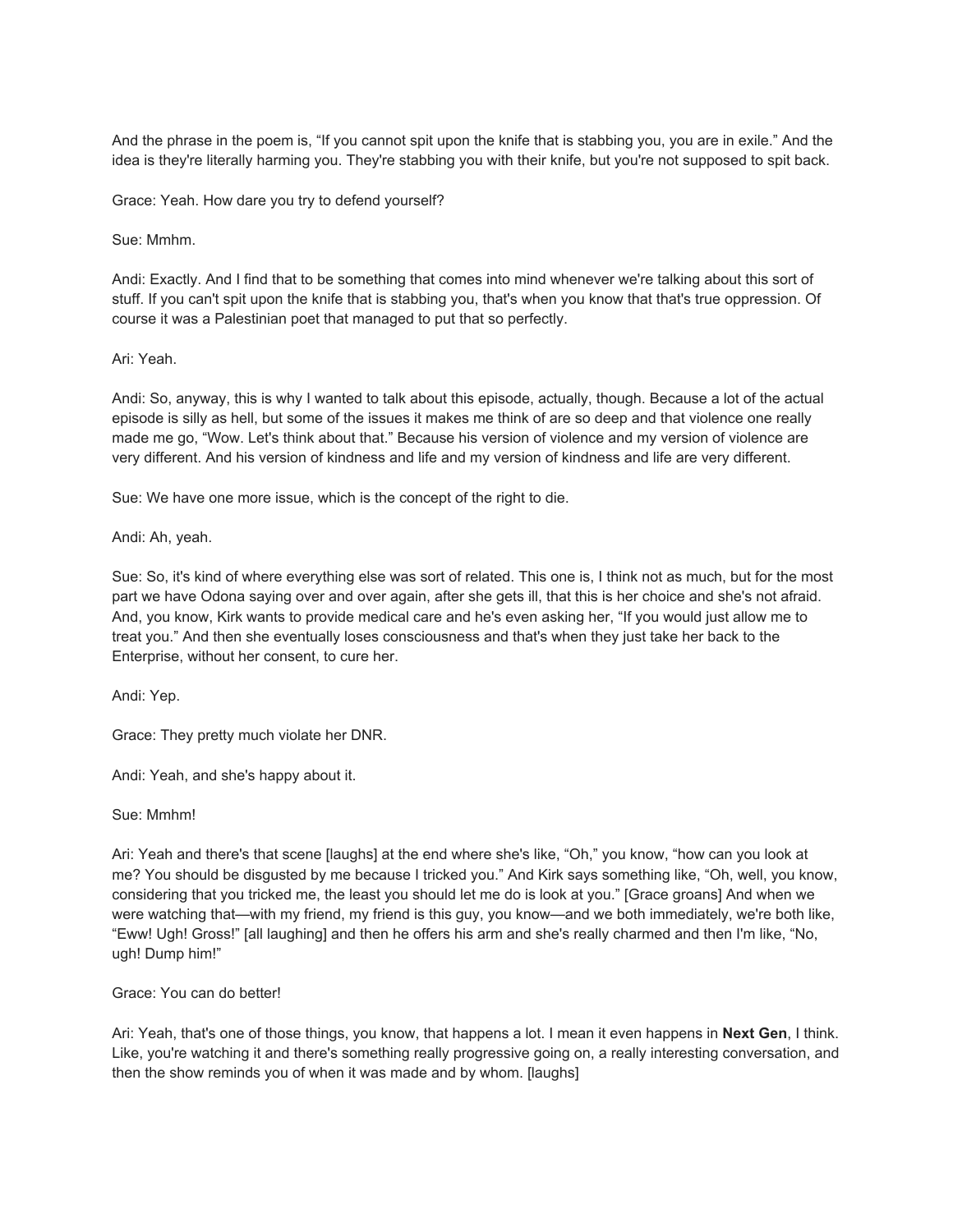And the phrase in the poem is, "If you cannot spit upon the knife that is stabbing you, you are in exile." And the idea is they're literally harming you. They're stabbing you with their knife, but you're not supposed to spit back.

Grace: Yeah. How dare you try to defend yourself?

Sue: Mmhm.

Andi: Exactly. And I find that to be something that comes into mind whenever we're talking about this sort of stuff. If you can't spit upon the knife that is stabbing you, that's when you know that that's true oppression. Of course it was a Palestinian poet that managed to put that so perfectly.

#### Ari: Yeah.

Andi: So, anyway, this is why I wanted to talk about this episode, actually, though. Because a lot of the actual episode is silly as hell, but some of the issues it makes me think of are so deep and that violence one really made me go, "Wow. Let's think about that." Because his version of violence and my version of violence are very different. And his version of kindness and life and my version of kindness and life are very different.

Sue: We have one more issue, which is the concept of the right to die.

Andi: Ah, yeah.

Sue: So, it's kind of where everything else was sort of related. This one is, I think not as much, but for the most part we have Odona saying over and over again, after she gets ill, that this is her choice and she's not afraid. And, you know, Kirk wants to provide medical care and he's even asking her, "If you would just allow me to treat you." And then she eventually loses consciousness and that's when they just take her back to the Enterprise, without her consent, to cure her.

Andi: Yep.

Grace: They pretty much violate her DNR.

Andi: Yeah, and she's happy about it.

Sue: Mmhm!

Ari: Yeah and there's that scene [laughs] at the end where she's like, "Oh," you know, "how can you look at me? You should be disgusted by me because I tricked you." And Kirk says something like, "Oh, well, you know, considering that you tricked me, the least you should let me do is look at you." [Grace groans] And when we were watching that—with my friend, my friend is this guy, you know—and we both immediately, we're both like, "Eww! Ugh! Gross!" [all laughing] and then he offers his arm and she's really charmed and then I'm like, "No, ugh! Dump him!"

#### Grace: You can do better!

Ari: Yeah, that's one of those things, you know, that happens a lot. I mean it even happens in **Next Gen**, I think. Like, you're watching it and there's something really progressive going on, a really interesting conversation, and then the show reminds you of when it was made and by whom. [laughs]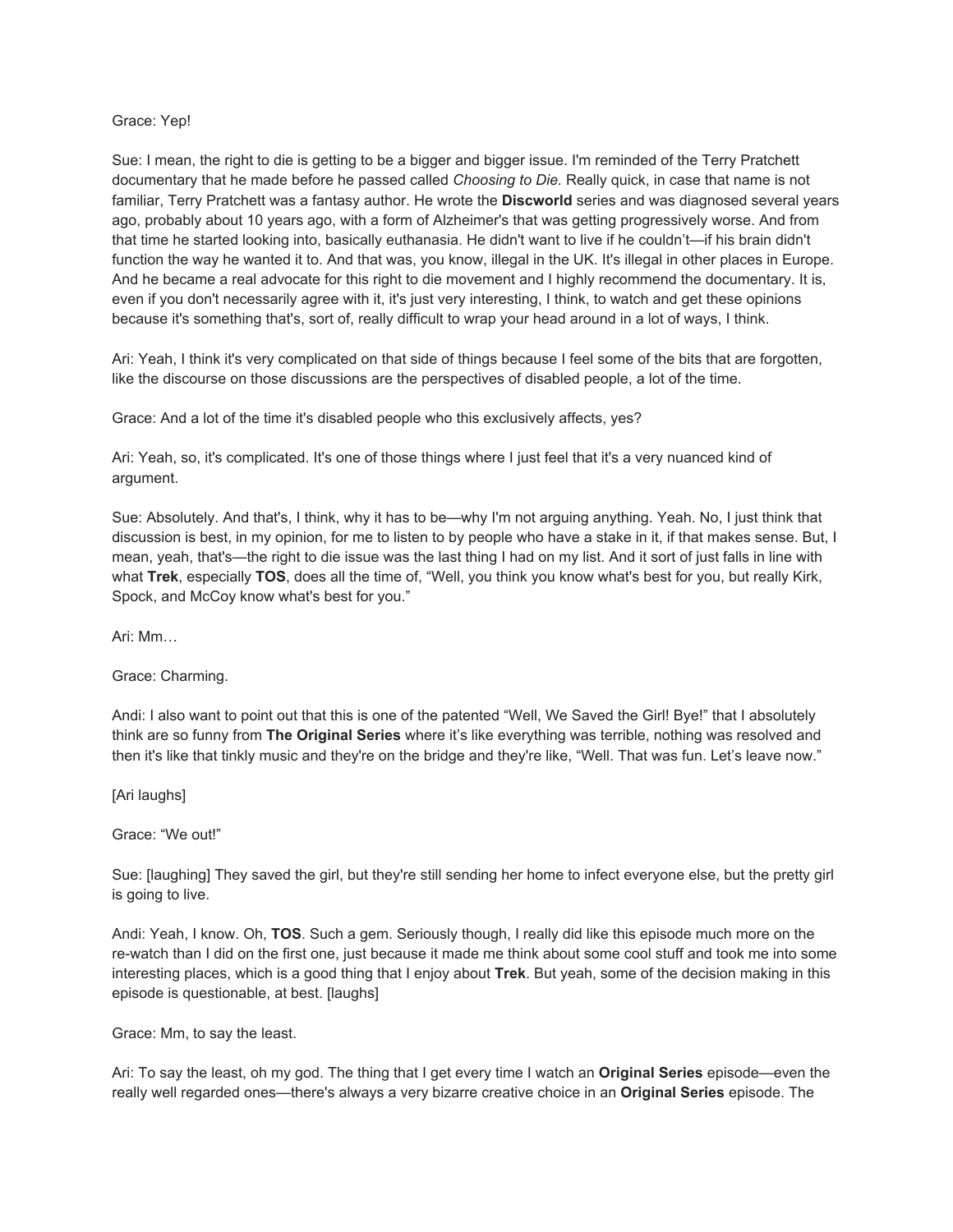#### Grace: Yep!

Sue: I mean, the right to die is getting to be a bigger and bigger issue. I'm reminded of the Terry Pratchett documentary that he made before he passed called *Choosing to Die.* Really quick, in case that name is not familiar, Terry Pratchett was a fantasy author. He wrote the **Discworld** series and was diagnosed several years ago, probably about 10 years ago, with a form of Alzheimer's that was getting progressively worse. And from that time he started looking into, basically euthanasia. He didn't want to live if he couldn't—if his brain didn't function the way he wanted it to. And that was, you know, illegal in the UK. It's illegal in other places in Europe. And he became a real advocate for this right to die movement and I highly recommend the documentary. It is, even if you don't necessarily agree with it, it's just very interesting, I think, to watch and get these opinions because it's something that's, sort of, really difficult to wrap your head around in a lot of ways, I think.

Ari: Yeah, I think it's very complicated on that side of things because I feel some of the bits that are forgotten, like the discourse on those discussions are the perspectives of disabled people, a lot of the time.

Grace: And a lot of the time it's disabled people who this exclusively affects, yes?

Ari: Yeah, so, it's complicated. It's one of those things where I just feel that it's a very nuanced kind of argument.

Sue: Absolutely. And that's, I think, why it has to be—why I'm not arguing anything. Yeah. No, I just think that discussion is best, in my opinion, for me to listen to by people who have a stake in it, if that makes sense. But, I mean, yeah, that's—the right to die issue was the last thing I had on my list. And it sort of just falls in line with what **Trek**, especially **TOS**, does all the time of, "Well, you think you know what's best for you, but really Kirk, Spock, and McCoy know what's best for you."

Ari: Mm…

Grace: Charming.

Andi: I also want to point out that this is one of the patented "Well, We Saved the Girl! Bye!" that I absolutely think are so funny from **The Original Series** where it's like everything was terrible, nothing was resolved and then it's like that tinkly music and they're on the bridge and they're like, "Well. That was fun. Let's leave now."

[Ari laughs]

Grace: "We out!"

Sue: [laughing] They saved the girl, but they're still sending her home to infect everyone else, but the pretty girl is going to live.

Andi: Yeah, I know. Oh, **TOS**. Such a gem. Seriously though, I really did like this episode much more on the re-watch than I did on the first one, just because it made me think about some cool stuff and took me into some interesting places, which is a good thing that I enjoy about **Trek**. But yeah, some of the decision making in this episode is questionable, at best. [laughs]

Grace: Mm, to say the least.

Ari: To say the least, oh my god. The thing that I get every time I watch an **Original Series** episode—even the really well regarded ones—there's always a very bizarre creative choice in an **Original Series** episode. The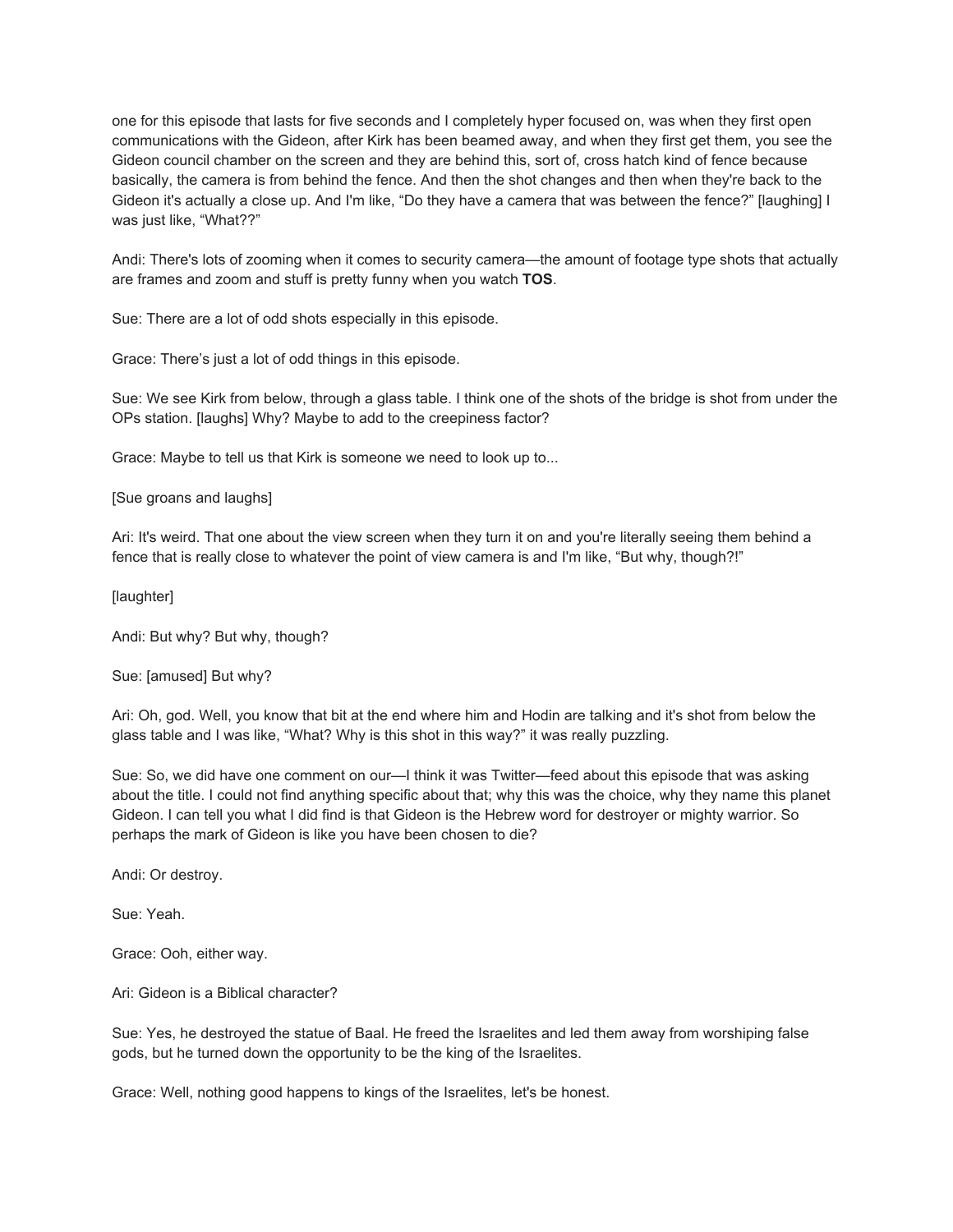one for this episode that lasts for five seconds and I completely hyper focused on, was when they first open communications with the Gideon, after Kirk has been beamed away, and when they first get them, you see the Gideon council chamber on the screen and they are behind this, sort of, cross hatch kind of fence because basically, the camera is from behind the fence. And then the shot changes and then when they're back to the Gideon it's actually a close up. And I'm like, "Do they have a camera that was between the fence?" [laughing] I was just like, "What??"

Andi: There's lots of zooming when it comes to security camera—the amount of footage type shots that actually are frames and zoom and stuff is pretty funny when you watch **TOS**.

Sue: There are a lot of odd shots especially in this episode.

Grace: There's just a lot of odd things in this episode.

Sue: We see Kirk from below, through a glass table. I think one of the shots of the bridge is shot from under the OPs station. [laughs] Why? Maybe to add to the creepiness factor?

Grace: Maybe to tell us that Kirk is someone we need to look up to...

[Sue groans and laughs]

Ari: It's weird. That one about the view screen when they turn it on and you're literally seeing them behind a fence that is really close to whatever the point of view camera is and I'm like, "But why, though?!"

[laughter]

Andi: But why? But why, though?

Sue: [amused] But why?

Ari: Oh, god. Well, you know that bit at the end where him and Hodin are talking and it's shot from below the glass table and I was like, "What? Why is this shot in this way?" it was really puzzling.

Sue: So, we did have one comment on our—I think it was Twitter—feed about this episode that was asking about the title. I could not find anything specific about that; why this was the choice, why they name this planet Gideon. I can tell you what I did find is that Gideon is the Hebrew word for destroyer or mighty warrior. So perhaps the mark of Gideon is like you have been chosen to die?

Andi: Or destroy.

Sue: Yeah.

Grace: Ooh, either way.

Ari: Gideon is a Biblical character?

Sue: Yes, he destroyed the statue of Baal. He freed the Israelites and led them away from worshiping false gods, but he turned down the opportunity to be the king of the Israelites.

Grace: Well, nothing good happens to kings of the Israelites, let's be honest.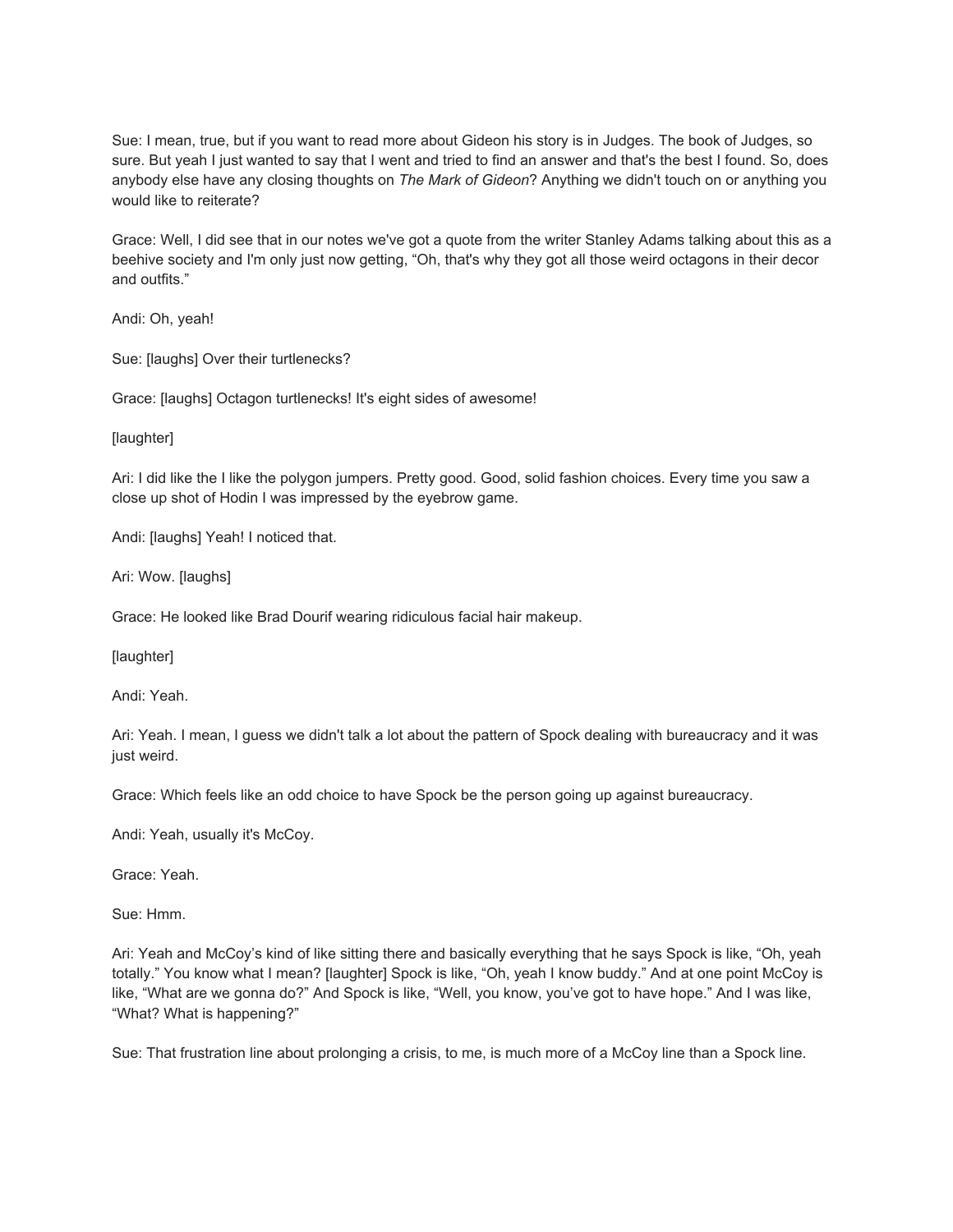Sue: I mean, true, but if you want to read more about Gideon his story is in Judges. The book of Judges, so sure. But yeah I just wanted to say that I went and tried to find an answer and that's the best I found. So, does anybody else have any closing thoughts on *The Mark of Gideon*? Anything we didn't touch on or anything you would like to reiterate?

Grace: Well, I did see that in our notes we've got a quote from the writer Stanley Adams talking about this as a beehive society and I'm only just now getting, "Oh, that's why they got all those weird octagons in their decor and outfits."

Andi: Oh, yeah!

Sue: [laughs] Over their turtlenecks?

Grace: [laughs] Octagon turtlenecks! It's eight sides of awesome!

[laughter]

Ari: I did like the I like the polygon jumpers. Pretty good. Good, solid fashion choices. Every time you saw a close up shot of Hodin I was impressed by the eyebrow game.

Andi: [laughs] Yeah! I noticed that.

Ari: Wow. [laughs]

Grace: He looked like Brad Dourif wearing ridiculous facial hair makeup.

[laughter]

Andi: Yeah.

Ari: Yeah. I mean, I guess we didn't talk a lot about the pattern of Spock dealing with bureaucracy and it was just weird.

Grace: Which feels like an odd choice to have Spock be the person going up against bureaucracy.

Andi: Yeah, usually it's McCoy.

Grace: Yeah.

Sue: Hmm.

Ari: Yeah and McCoy's kind of like sitting there and basically everything that he says Spock is like, "Oh, yeah totally." You know what I mean? [laughter] Spock is like, "Oh, yeah I know buddy." And at one point McCoy is like, "What are we gonna do?" And Spock is like, "Well, you know, you've got to have hope." And I was like, "What? What is happening?"

Sue: That frustration line about prolonging a crisis, to me, is much more of a McCoy line than a Spock line.